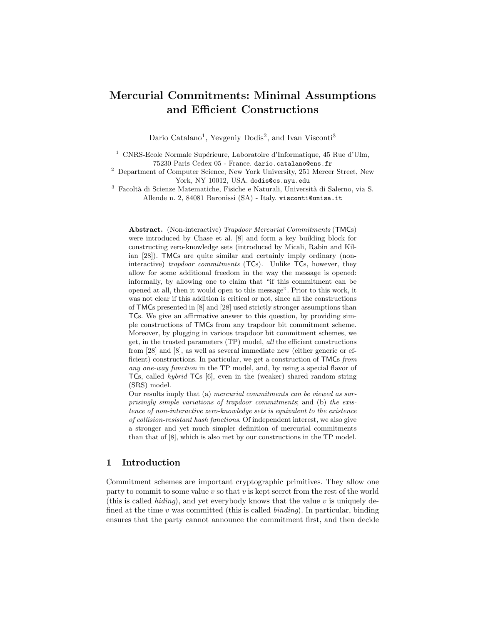# Mercurial Commitments: Minimal Assumptions and Efficient Constructions

Dario Catalano<sup>1</sup>, Yevgeniy Dodis<sup>2</sup>, and Ivan Visconti<sup>3</sup>

<sup>1</sup> CNRS-Ecole Normale Supérieure, Laboratoire d'Informatique, 45 Rue d'Ulm, 75230 Paris Cedex 05 - France. dario.catalano@ens.fr

 $^{\rm 2}$  Department of Computer Science, New York University, 251 Mercer Street, New York, NY 10012, USA. dodis@cs.nyu.edu

<sup>3</sup> Facolt`a di Scienze Matematiche, Fisiche e Naturali, Universit`a di Salerno, via S. Allende n. 2, 84081 Baronissi (SA) - Italy. visconti@unisa.it

Abstract. (Non-interactive) Trapdoor Mercurial Commitments (TMCs) were introduced by Chase et al. [8] and form a key building block for constructing zero-knowledge sets (introduced by Micali, Rabin and Kilian [28]). TMCs are quite similar and certainly imply ordinary (noninteractive) *trapdoor commitments* (TCs). Unlike TCs, however, they allow for some additional freedom in the way the message is opened: informally, by allowing one to claim that "if this commitment can be opened at all, then it would open to this message". Prior to this work, it was not clear if this addition is critical or not, since all the constructions of TMCs presented in [8] and [28] used strictly stronger assumptions than TCs. We give an affirmative answer to this question, by providing simple constructions of TMCs from any trapdoor bit commitment scheme. Moreover, by plugging in various trapdoor bit commitment schemes, we get, in the trusted parameters (TP) model, all the efficient constructions from [28] and [8], as well as several immediate new (either generic or efficient) constructions. In particular, we get a construction of TMCs from any one-way function in the TP model, and, by using a special flavor of TCs, called hybrid TCs [6], even in the (weaker) shared random string (SRS) model.

Our results imply that (a) mercurial commitments can be viewed as surprisingly simple variations of trapdoor commitments; and (b) the existence of non-interactive zero-knowledge sets is equivalent to the existence of collision-resistant hash functions. Of independent interest, we also give a stronger and yet much simpler definition of mercurial commitments than that of [8], which is also met by our constructions in the TP model.

### 1 Introduction

Commitment schemes are important cryptographic primitives. They allow one party to commit to some value  $v$  so that  $v$  is kept secret from the rest of the world (this is called *hiding*), and yet everybody knows that the value v is uniquely defined at the time  $v$  was committed (this is called *binding*). In particular, binding ensures that the party cannot announce the commitment first, and then decide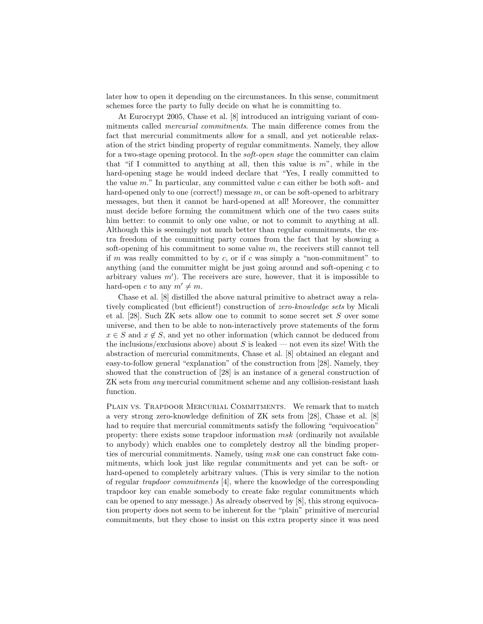later how to open it depending on the circumstances. In this sense, commitment schemes force the party to fully decide on what he is committing to.

At Eurocrypt 2005, Chase et al. [8] introduced an intriguing variant of commitments called mercurial commitments. The main difference comes from the fact that mercurial commitments allow for a small, and yet noticeable relaxation of the strict binding property of regular commitments. Namely, they allow for a two-stage opening protocol. In the *soft-open stage* the committer can claim that "if I committed to anything at all, then this value is  $m$ ", while in the hard-opening stage he would indeed declare that "Yes, I really committed to the value  $m$ ." In particular, any committed value c can either be both soft- and hard-opened only to one (correct!) message m, or can be soft-opened to arbitrary messages, but then it cannot be hard-opened at all! Moreover, the committer must decide before forming the commitment which one of the two cases suits him better: to commit to only one value, or not to commit to anything at all. Although this is seemingly not much better than regular commitments, the extra freedom of the committing party comes from the fact that by showing a soft-opening of his commitment to some value  $m$ , the receivers still cannot tell if m was really committed to by c, or if c was simply a "non-commitment" to anything (and the committer might be just going around and soft-opening  $c$  to arbitrary values  $m'$ ). The receivers are sure, however, that it is impossible to hard-open c to any  $m' \neq m$ .

Chase et al. [8] distilled the above natural primitive to abstract away a relatively complicated (but efficient!) construction of *zero-knowledge sets* by Micali et al. [28]. Such ZK sets allow one to commit to some secret set S over some universe, and then to be able to non-interactively prove statements of the form  $x \in S$  and  $x \notin S$ , and yet no other information (which cannot be deduced from the inclusions/exclusions above) about S is leaked — not even its size! With the abstraction of mercurial commitments, Chase et al. [8] obtained an elegant and easy-to-follow general "explanation" of the construction from [28]. Namely, they showed that the construction of [28] is an instance of a general construction of ZK sets from any mercurial commitment scheme and any collision-resistant hash function.

PLAIN VS. TRAPDOOR MERCURIAL COMMITMENTS. We remark that to match a very strong zero-knowledge definition of ZK sets from [28], Chase et al. [8] had to require that mercurial commitments satisfy the following "equivocation" property: there exists some trapdoor information msk (ordinarily not available to anybody) which enables one to completely destroy all the binding properties of mercurial commitments. Namely, using msk one can construct fake commitments, which look just like regular commitments and yet can be soft- or hard-opened to completely arbitrary values. (This is very similar to the notion of regular trapdoor commitments [4], where the knowledge of the corresponding trapdoor key can enable somebody to create fake regular commitments which can be opened to any message.) As already observed by [8], this strong equivocation property does not seem to be inherent for the "plain" primitive of mercurial commitments, but they chose to insist on this extra property since it was need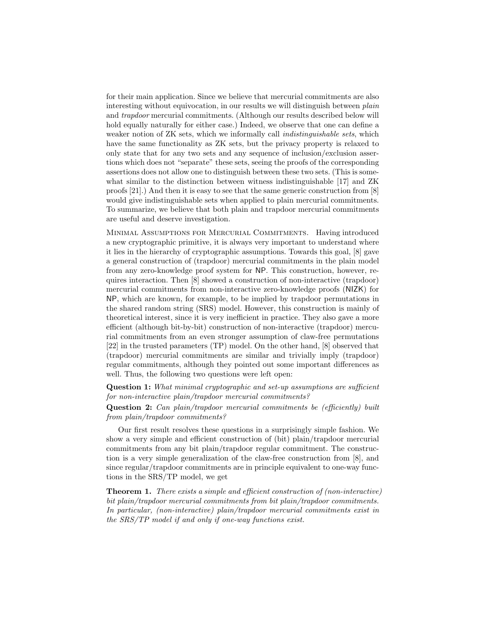for their main application. Since we believe that mercurial commitments are also interesting without equivocation, in our results we will distinguish between *plain* and trapdoor mercurial commitments. (Although our results described below will hold equally naturally for either case.) Indeed, we observe that one can define a weaker notion of ZK sets, which we informally call *indistinguishable sets*, which have the same functionality as ZK sets, but the privacy property is relaxed to only state that for any two sets and any sequence of inclusion/exclusion assertions which does not "separate" these sets, seeing the proofs of the corresponding assertions does not allow one to distinguish between these two sets. (This is somewhat similar to the distinction between witness indistinguishable [17] and ZK proofs [21].) And then it is easy to see that the same generic construction from [8] would give indistinguishable sets when applied to plain mercurial commitments. To summarize, we believe that both plain and trapdoor mercurial commitments are useful and deserve investigation.

Minimal Assumptions for Mercurial Commitments. Having introduced a new cryptographic primitive, it is always very important to understand where it lies in the hierarchy of cryptographic assumptions. Towards this goal, [8] gave a general construction of (trapdoor) mercurial commitments in the plain model from any zero-knowledge proof system for NP. This construction, however, requires interaction. Then [8] showed a construction of non-interactive (trapdoor) mercurial commitments from non-interactive zero-knowledge proofs (NIZK) for NP, which are known, for example, to be implied by trapdoor permutations in the shared random string (SRS) model. However, this construction is mainly of theoretical interest, since it is very inefficient in practice. They also gave a more efficient (although bit-by-bit) construction of non-interactive (trapdoor) mercurial commitments from an even stronger assumption of claw-free permutations [22] in the trusted parameters (TP) model. On the other hand, [8] observed that (trapdoor) mercurial commitments are similar and trivially imply (trapdoor) regular commitments, although they pointed out some important differences as well. Thus, the following two questions were left open:

Question 1: What minimal cryptographic and set-up assumptions are sufficient for non-interactive plain/trapdoor mercurial commitments?

Question 2: Can plain/trapdoor mercurial commitments be (efficiently) built from plain/trapdoor commitments?

Our first result resolves these questions in a surprisingly simple fashion. We show a very simple and efficient construction of (bit) plain/trapdoor mercurial commitments from any bit plain/trapdoor regular commitment. The construction is a very simple generalization of the claw-free construction from [8], and since regular/trapdoor commitments are in principle equivalent to one-way functions in the SRS/TP model, we get

Theorem 1. There exists a simple and efficient construction of (non-interactive) bit plain/trapdoor mercurial commitments from bit plain/trapdoor commitments. In particular, (non-interactive) plain/trapdoor mercurial commitments exist in the SRS/TP model if and only if one-way functions exist.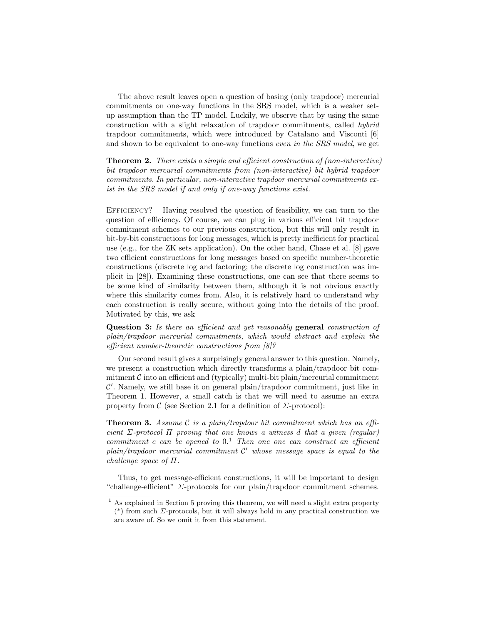The above result leaves open a question of basing (only trapdoor) mercurial commitments on one-way functions in the SRS model, which is a weaker setup assumption than the TP model. Luckily, we observe that by using the same construction with a slight relaxation of trapdoor commitments, called hybrid trapdoor commitments, which were introduced by Catalano and Visconti [6] and shown to be equivalent to one-way functions even in the SRS model, we get

Theorem 2. There exists a simple and efficient construction of (non-interactive) bit trapdoor mercurial commitments from (non-interactive) bit hybrid trapdoor commitments. In particular, non-interactive trapdoor mercurial commitments exist in the SRS model if and only if one-way functions exist.

Efficiency? Having resolved the question of feasibility, we can turn to the question of efficiency. Of course, we can plug in various efficient bit trapdoor commitment schemes to our previous construction, but this will only result in bit-by-bit constructions for long messages, which is pretty inefficient for practical use (e.g., for the ZK sets application). On the other hand, Chase et al. [8] gave two efficient constructions for long messages based on specific number-theoretic constructions (discrete log and factoring; the discrete log construction was implicit in [28]). Examining these constructions, one can see that there seems to be some kind of similarity between them, although it is not obvious exactly where this similarity comes from. Also, it is relatively hard to understand why each construction is really secure, without going into the details of the proof. Motivated by this, we ask

Question 3: Is there an efficient and yet reasonably general construction of plain/trapdoor mercurial commitments, which would abstract and explain the efficient number-theoretic constructions from [8]?

Our second result gives a surprisingly general answer to this question. Namely, we present a construction which directly transforms a plain/trapdoor bit commitment  $\mathcal C$  into an efficient and (typically) multi-bit plain/mercurial commitment  $\mathcal{C}'$ . Namely, we still base it on general plain/trapdoor commitment, just like in Theorem 1. However, a small catch is that we will need to assume an extra property from C (see Section 2.1 for a definition of  $\Sigma$ -protocol):

**Theorem 3.** Assume  $\mathcal C$  is a plain/trapdoor bit commitment which has an efficient Σ-protocol  $\Pi$  proving that one knows a witness d that a given (regular) commitment  $c$  can be opened to  $0<sup>1</sup>$ . Then one one can construct an efficient  $plain/trapdoor$  mercurial commitment  $\mathcal{C}'$  whose message space is equal to the challenge space of Π.

Thus, to get message-efficient constructions, it will be important to design "challenge-efficient"  $\Sigma$ -protocols for our plain/trapdoor commitment schemes.

<sup>&</sup>lt;sup>1</sup> As explained in Section 5 proving this theorem, we will need a slight extra property (\*) from such Σ-protocols, but it will always hold in any practical construction we are aware of. So we omit it from this statement.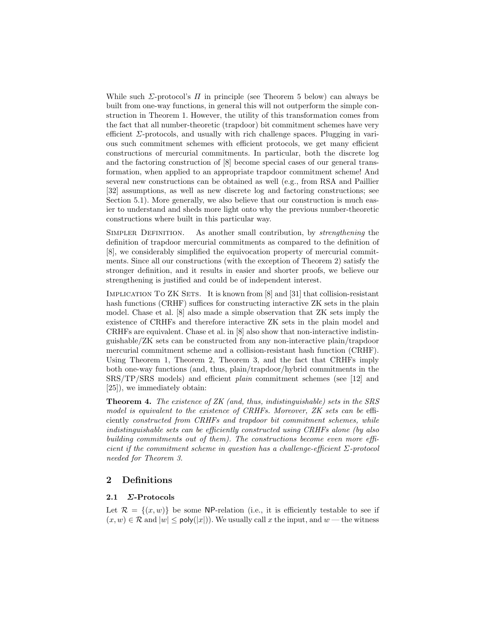While such  $\Sigma$ -protocol's  $\Pi$  in principle (see Theorem 5 below) can always be built from one-way functions, in general this will not outperform the simple construction in Theorem 1. However, the utility of this transformation comes from the fact that all number-theoretic (trapdoor) bit commitment schemes have very efficient Σ-protocols, and usually with rich challenge spaces. Plugging in various such commitment schemes with efficient protocols, we get many efficient constructions of mercurial commitments. In particular, both the discrete log and the factoring construction of [8] become special cases of our general transformation, when applied to an appropriate trapdoor commitment scheme! And several new constructions can be obtained as well (e.g., from RSA and Paillier [32] assumptions, as well as new discrete log and factoring constructions; see Section 5.1). More generally, we also believe that our construction is much easier to understand and sheds more light onto why the previous number-theoretic constructions where built in this particular way.

SIMPLER DEFINITION. As another small contribution, by *strengthening* the definition of trapdoor mercurial commitments as compared to the definition of [8], we considerably simplified the equivocation property of mercurial commitments. Since all our constructions (with the exception of Theorem 2) satisfy the stronger definition, and it results in easier and shorter proofs, we believe our strengthening is justified and could be of independent interest.

IMPLICATION TO ZK SETS. It is known from  $[8]$  and  $[31]$  that collision-resistant hash functions (CRHF) suffices for constructing interactive ZK sets in the plain model. Chase et al. [8] also made a simple observation that ZK sets imply the existence of CRHFs and therefore interactive ZK sets in the plain model and CRHFs are equivalent. Chase et al. in [8] also show that non-interactive indistinguishable/ZK sets can be constructed from any non-interactive plain/trapdoor mercurial commitment scheme and a collision-resistant hash function (CRHF). Using Theorem 1, Theorem 2, Theorem 3, and the fact that CRHFs imply both one-way functions (and, thus, plain/trapdoor/hybrid commitments in the SRS/TP/SRS models) and efficient plain commitment schemes (see [12] and [25]), we immediately obtain:

Theorem 4. The existence of ZK (and, thus, indistinguishable) sets in the SRS model is equivalent to the existence of CRHFs. Moreover, ZK sets can be efficiently constructed from CRHFs and trapdoor bit commitment schemes, while indistinguishable sets can be efficiently constructed using CRHFs alone (by also building commitments out of them). The constructions become even more efficient if the commitment scheme in question has a challenge-efficient  $\Sigma$ -protocol needed for Theorem 3.

## 2 Definitions

### 2.1 Σ-Protocols

Let  $\mathcal{R} = \{(x, w)\}\$ be some NP-relation (i.e., it is efficiently testable to see if  $(x, w) \in \mathcal{R}$  and  $|w| \leq \text{poly}(|x|)$ . We usually call x the input, and  $w$  — the witness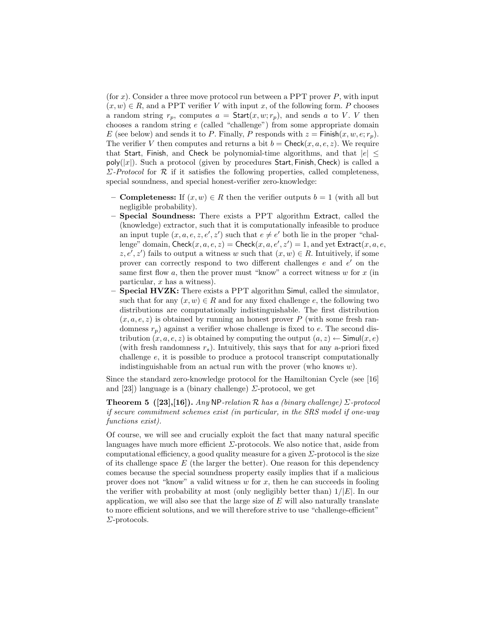(for x). Consider a three move protocol run between a PPT prover  $P$ , with input  $(x, w) \in R$ , and a PPT verifier V with input x, of the following form. P chooses a random string  $r_p$ , computes  $a = \text{Start}(x, w; r_p)$ , and sends a to V. V then chooses a random string e (called "challenge") from some appropriate domain E (see below) and sends it to P. Finally, P responds with  $z = \text{Finish}(x, w, e; r_p)$ . The verifier V then computes and returns a bit  $b = \mathsf{Check}(x, a, e, z)$ . We require that Start, Finish, and Check be polynomial-time algorithms, and that  $|e|$   $\leq$  $poly(|x|)$ . Such a protocol (given by procedures Start, Finish, Check) is called a  $\Sigma$ -Protocol for R if it satisfies the following properties, called completeness, special soundness, and special honest-verifier zero-knowledge:

- **Completeness:** If  $(x, w) \in R$  then the verifier outputs  $b = 1$  (with all but negligible probability).
- Special Soundness: There exists a PPT algorithm Extract, called the (knowledge) extractor, such that it is computationally infeasible to produce an input tuple  $(x, a, e, z, e', z')$  such that  $e \neq e'$  both lie in the proper "challenge" domain,  $\mathsf{Check}(x, a, e, z) = \mathsf{Check}(x, a, e', z') = 1$ , and yet  $\mathsf{Extract}(x, a, e, z')$  $z, e', z'$  fails to output a witness w such that  $(x, w) \in R$ . Intuitively, if some prover can correctly respond to two different challenges  $e$  and  $e'$  on the same first flow a, then the prover must "know" a correct witness  $w$  for  $x$  (in particular,  $x$  has a witness).
- Special HVZK: There exists a PPT algorithm Simul, called the simulator, such that for any  $(x, w) \in R$  and for any fixed challenge e, the following two distributions are computationally indistinguishable. The first distribution  $(x, a, e, z)$  is obtained by running an honest prover P (with some fresh randomness  $r_p$ ) against a verifier whose challenge is fixed to e. The second distribution  $(x, a, e, z)$  is obtained by computing the output  $(a, z) \leftarrow$  Simul $(x, e)$ (with fresh randomness  $r_s$ ). Intuitively, this says that for any a-priori fixed challenge e, it is possible to produce a protocol transcript computationally indistinguishable from an actual run with the prover (who knows  $w$ ).

Since the standard zero-knowledge protocol for the Hamiltonian Cycle (see [16] and [23]) language is a (binary challenge)  $\Sigma$ -protocol, we get

**Theorem 5** ([23],[16]). Any NP-relation R has a (binary challenge)  $\Sigma$ -protocol if secure commitment schemes exist (in particular, in the SRS model if one-way functions exist).

Of course, we will see and crucially exploit the fact that many natural specific languages have much more efficient  $\Sigma$ -protocols. We also notice that, aside from computational efficiency, a good quality measure for a given  $\Sigma$ -protocol is the size of its challenge space  $E$  (the larger the better). One reason for this dependency comes because the special soundness property easily implies that if a malicious prover does not "know" a valid witness  $w$  for  $x$ , then he can succeeds in fooling the verifier with probability at most (only negligibly better than)  $1/|E|$ . In our application, we will also see that the large size of  $E$  will also naturally translate to more efficient solutions, and we will therefore strive to use "challenge-efficient" Σ-protocols.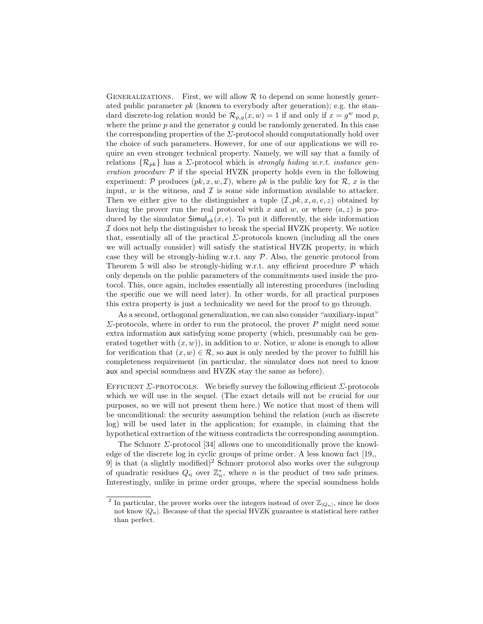GENERALIZATIONS. First, we will allow  $R$  to depend on some honestly generated public parameter  $pk$  (known to everybody after generation); e.g. the standard discrete-log relation would be  $\mathcal{R}_{p,g}(x,w) = 1$  if and only if  $x = g^w \mod p$ , where the prime  $p$  and the generator  $g$  could be randomly generated. In this case the corresponding properties of the  $\Sigma$ -protocol should computationally hold over the choice of such parameters. However, for one of our applications we will require an even stronger technical property. Namely, we will say that a family of relations  $\{\mathcal{R}_{pk}\}\$  has a  $\Sigma$ -protocol which is strongly hiding w.r.t. instance generation procedure  $P$  if the special HVZK property holds even in the following experiment: P produces  $(pk, x, w, \mathcal{I})$ , where pk is the public key for R, x is the input,  $w$  is the witness, and  $\mathcal I$  is some side information available to attacker. Then we either give to the distinguisher a tuple  $(\mathcal{I}, pk, x, a, e, z)$  obtained by having the prover run the real protocol with x and w, or where  $(a, z)$  is produced by the simulator  $\mathsf{Simul}_{pk}(x, e)$ . To put it differently, the side information I does not help the distinguisher to break the special HVZK property. We notice that, essentially all of the practical  $\Sigma$ -protocols known (including all the ones we will actually consider) will satisfy the statistical HVZK property, in which case they will be strongly-hiding w.r.t. any  $P$ . Also, the generic protocol from Theorem 5 will also be strongly-hiding w.r.t. any efficient procedure  $P$  which only depends on the public parameters of the commitments used inside the protocol. This, once again, includes essentially all interesting procedures (including the specific one we will need later). In other words, for all practical purposes this extra property is just a technicality we need for the proof to go through.

As a second, orthogonal generalization, we can also consider "auxiliary-input"  $\Sigma$ -protocols, where in order to run the protocol, the prover P might need some extra information aux satisfying some property (which, presumably can be generated together with  $(x, w)$ , in addition to w. Notice, w alone is enough to allow for verification that  $(x, w) \in \mathcal{R}$ , so aux is only needed by the prover to fulfill his completeness requirement (in particular, the simulator does not need to know aux and special soundness and HVZK stay the same as before).

EFFICIENT  $\Sigma$ -PROTOCOLS. We briefly survey the following efficient  $\Sigma$ -protocols which we will use in the sequel. (The exact details will not be crucial for our purposes, so we will not present them here.) We notice that most of them will be unconditional: the security assumption behind the relation (such as discrete log) will be used later in the application; for example, in claiming that the hypothetical extraction of the witness contradicts the corresponding assumption.

The Schnorr Σ-protocol [34] allows one to unconditionally prove the knowledge of the discrete log in cyclic groups of prime order. A less known fact [19,, 9 is that (a slightly modified)<sup>2</sup> Schnorr protocol also works over the subgroup of quadratic residues  $Q_n$  over  $\mathbb{Z}_n^*$ , where n is the product of two safe primes. Interestingly, unlike in prime order groups, where the special soundness holds

<sup>&</sup>lt;sup>2</sup> In particular, the prover works over the integers instead of over  $\mathbb{Z}_{|Q_n|}$ , since he does not know  $|Q_n|$ . Because of that the special HVZK guarantee is statistical here rather than perfect.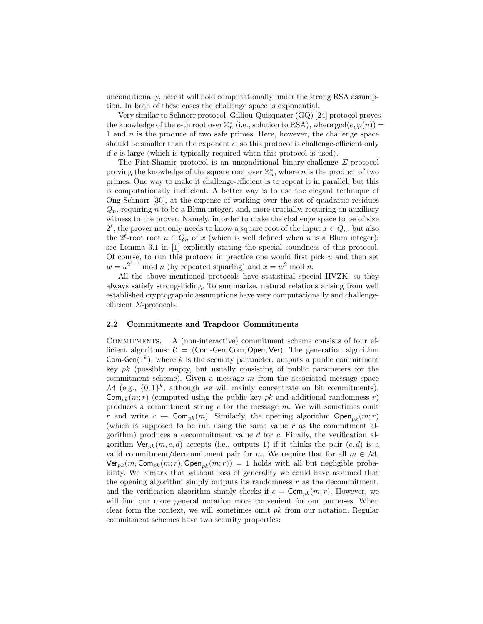unconditionally, here it will hold computationally under the strong RSA assumption. In both of these cases the challenge space is exponential.

Very similar to Schnorr protocol, Gilliou-Quisquater (GQ) [24] protocol proves the knowledge of the e-th root over  $\mathbb{Z}_n^*$  (i.e., solution to RSA), where  $gcd(e, \varphi(n)) =$ 1 and  $n$  is the produce of two safe primes. Here, however, the challenge space should be smaller than the exponent e, so this protocol is challenge-efficient only if e is large (which is typically required when this protocol is used).

The Fiat-Shamir protocol is an unconditional binary-challenge  $\Sigma$ -protocol proving the knowledge of the square root over  $\mathbb{Z}_n^*$ , where n is the product of two primes. One way to make it challenge-efficient is to repeat it in parallel, but this is computationally inefficient. A better way is to use the elegant technique of Ong-Schnorr [30], at the expense of working over the set of quadratic residues  $Q_n$ , requiring n to be a Blum integer, and, more crucially, requiring an auxiliary witness to the prover. Namely, in order to make the challenge space to be of size  $2^{\ell}$ , the prover not only needs to know a square root of the input  $x \in Q_n$ , but also the  $2^{\ell}$ -root root  $u \in Q_n$  of x (which is well defined when n is a Blum integer): see Lemma 3.1 in [1] explicitly stating the special soundness of this protocol. Of course, to run this protocol in practice one would first pick  $u$  and then set  $w = u^{2^{\ell-1}}$  mod n (by repeated squaring) and  $x = w^2$  mod n.

All the above mentioned protocols have statistical special HVZK, so they always satisfy strong-hiding. To summarize, natural relations arising from well established cryptographic assumptions have very computationally and challengeefficient  $\Sigma$ -protocols.

#### 2.2 Commitments and Trapdoor Commitments

Commitments. A (non-interactive) commitment scheme consists of four efficient algorithms:  $C = (Com-Gen, Com, Open, Ver)$ . The generation algorithm Com-Gen( $1^k$ ), where k is the security parameter, outputs a public commitment key  $pk$  (possibly empty, but usually consisting of public parameters for the commitment scheme). Given a message  $m$  from the associated message space  $M$  (e.g.,  $\{0,1\}^k$ , although we will mainly concentrate on bit commitments),  $\mathsf{Com}_{pk}(m;r)$  (computed using the public key pk and additional randomness r) produces a commitment string  $c$  for the message  $m$ . We will sometimes omit r and write  $c \leftarrow \textsf{Com}_{pk}(m)$ . Similarly, the opening algorithm  $\textsf{Open}_{nk}(m;r)$ (which is supposed to be run using the same value  $r$  as the commitment algorithm) produces a decommitment value  $d$  for  $c$ . Finally, the verification algorithm  $\text{Ver}_{nk}(m, c, d)$  accepts (i.e., outputs 1) if it thinks the pair  $(c, d)$  is a valid commitment/decommitment pair for m. We require that for all  $m \in \mathcal{M}$ ,  $\text{Ver}_{pk}(m, \text{Com}_{pk}(m; r), \text{Open}_{pk}(m; r)) = 1$  holds with all but negligible probability. We remark that without loss of generality we could have assumed that the opening algorithm simply outputs its randomness  $r$  as the decommitment, and the verification algorithm simply checks if  $c = \textsf{Com}_{pk}(m; r)$ . However, we will find our more general notation more convenient for our purposes. When clear form the context, we will sometimes omit  $pk$  from our notation. Regular commitment schemes have two security properties: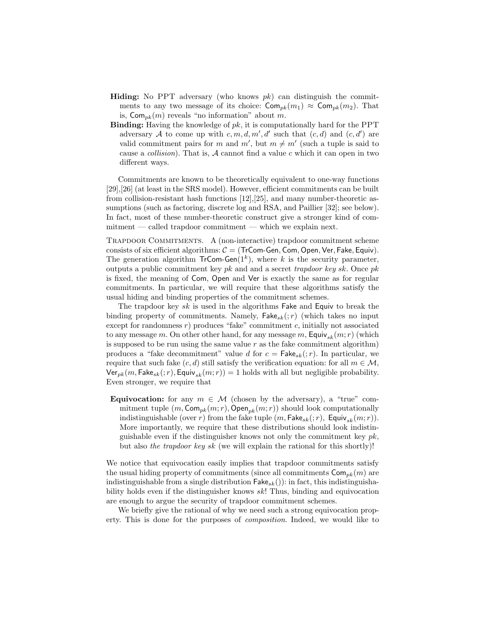- **Hiding:** No PPT adversary (who knows  $pk$ ) can distinguish the commitments to any two message of its choice:  $\textsf{Com}_{pk}(m_1) \approx \textsf{Com}_{pk}(m_2)$ . That is,  $\mathsf{Com}_{nk}(m)$  reveals "no information" about m.
- **Binding:** Having the knowledge of  $pk$ , it is computationally hard for the PPT adversary A to come up with  $c, m, d, m', d'$  such that  $(c, d)$  and  $(c, d')$  are valid commitment pairs for m and  $m'$ , but  $m \neq m'$  (such a tuple is said to cause a *collision*). That is,  $A$  cannot find a value  $c$  which it can open in two different ways.

Commitments are known to be theoretically equivalent to one-way functions [29],[26] (at least in the SRS model). However, efficient commitments can be built from collision-resistant hash functions [12],[25], and many number-theoretic assumptions (such as factoring, discrete log and RSA, and Paillier [32]; see below). In fact, most of these number-theoretic construct give a stronger kind of commitment — called trapdoor commitment — which we explain next.

Trapdoor Commitments. A (non-interactive) trapdoor commitment scheme consists of six efficient algorithms:  $C = (TrCom-Gen, Com, Open, Ver, Fake, Equiv)$ . The generation algorithm  $TrCom-Gen(1^k)$ , where k is the security parameter, outputs a public commitment key  $pk$  and and a secret trapdoor key sk. Once  $pk$ is fixed, the meaning of Com, Open and Ver is exactly the same as for regular commitments. In particular, we will require that these algorithms satisfy the usual hiding and binding properties of the commitment schemes.

The trapdoor key  $sk$  is used in the algorithms Fake and Equiv to break the binding property of commitments. Namely,  $\mathsf{Fake}_{sk}(\mathfrak{f}; r)$  (which takes no input except for randomness  $r$ ) produces "fake" commitment  $c$ , initially not associated to any message m. On other other hand, for any message m,  $\textsf{Equiv}_{sk}(m; r)$  (which is supposed to be run using the same value  $r$  as the fake commitment algorithm) produces a "fake decommitment" value d for  $c = \mathsf{False}_{sk}(x)$ . In particular, we require that such fake  $(c, d)$  still satisfy the verification equation: for all  $m \in \mathcal{M}$ ,  $Ver_{pk}(m, \text{Fake}_{sk}(:,r), \text{Equiv}_{sk}(m;r)) = 1$  holds with all but negligible probability. Even stronger, we require that

**Equivocation:** for any  $m \in \mathcal{M}$  (chosen by the adversary), a "true" commitment tuple  $(m, \textsf{Com}_{pk}(m; r), \textsf{Open}_{pk}(m; r))$  should look computationally indistinguishable (over r) from the fake tuple  $(m, \mathsf{False}_k(:, r), \mathsf{Equiv}_{sk}(m; r)).$ More importantly, we require that these distributions should look indistinguishable even if the distinguisher knows not only the commitment key  $pk$ . but also the trapdoor key sk (we will explain the rational for this shortly)!

We notice that equivocation easily implies that trapdoor commitments satisfy the usual hiding property of commitments (since all commitments  $\mathsf{Com}_{pk}(m)$  are indistinguishable from a single distribution  $\mathsf{False}_{sk}($ ): in fact, this indistinguishability holds even if the distinguisher knows sk! Thus, binding and equivocation are enough to argue the security of trapdoor commitment schemes.

We briefly give the rational of why we need such a strong equivocation property. This is done for the purposes of composition. Indeed, we would like to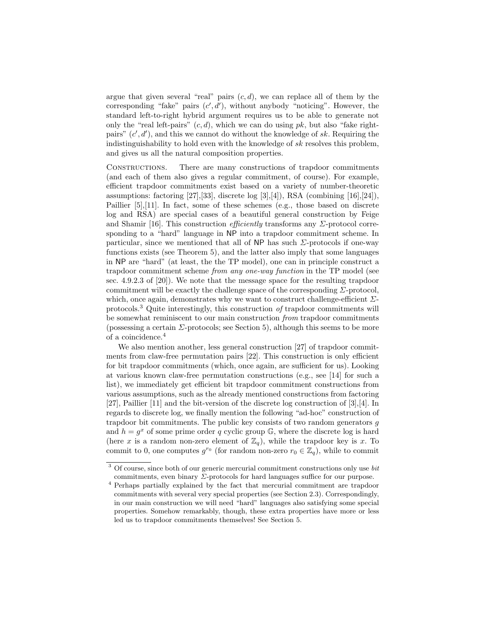argue that given several "real" pairs  $(c, d)$ , we can replace all of them by the corresponding "fake" pairs  $(c', d')$ , without anybody "noticing". However, the standard left-to-right hybrid argument requires us to be able to generate not only the "real left-pairs"  $(c, d)$ , which we can do using pk, but also "fake rightpairs"  $(c', d')$ , and this we cannot do without the knowledge of sk. Requiring the indistinguishability to hold even with the knowledge of  $sk$  resolves this problem, and gives us all the natural composition properties.

Constructions. There are many constructions of trapdoor commitments (and each of them also gives a regular commitment, of course). For example, efficient trapdoor commitments exist based on a variety of number-theoretic assumptions: factoring [27],[33], discrete log [3],[4]), RSA (combining [16],[24]), Paillier [5],[11]. In fact, some of these schemes (e.g., those based on discrete log and RSA) are special cases of a beautiful general construction by Feige and Shamir [16]. This construction *efficiently* transforms any  $\Sigma$ -protocol corresponding to a "hard" language in NP into a trapdoor commitment scheme. In particular, since we mentioned that all of  $NP$  has such  $\Sigma$ -protocols if one-way functions exists (see Theorem 5), and the latter also imply that some languages in NP are "hard" (at least, the the TP model), one can in principle construct a trapdoor commitment scheme from any one-way function in the TP model (see sec. 4.9.2.3 of [20]). We note that the message space for the resulting trapdoor commitment will be exactly the challenge space of the corresponding  $\Sigma$ -protocol, which, once again, demonstrates why we want to construct challenge-efficient  $\Sigma$ protocols.<sup>3</sup> Quite interestingly, this construction of trapdoor commitments will be somewhat reminiscent to our main construction from trapdoor commitments (possessing a certain  $\Sigma$ -protocols; see Section 5), although this seems to be more of a coincidence.<sup>4</sup>

We also mention another, less general construction [27] of trapdoor commitments from claw-free permutation pairs [22]. This construction is only efficient for bit trapdoor commitments (which, once again, are sufficient for us). Looking at various known claw-free permutation constructions (e.g., see [14] for such a list), we immediately get efficient bit trapdoor commitment constructions from various assumptions, such as the already mentioned constructions from factoring [27], Paillier [11] and the bit-version of the discrete log construction of [3],[4]. In regards to discrete log, we finally mention the following "ad-hoc" construction of trapdoor bit commitments. The public key consists of two random generators  $q$ and  $h = g^x$  of some prime order q cyclic group  $\mathbb{G}$ , where the discrete log is hard (here x is a random non-zero element of  $\mathbb{Z}_q$ ), while the trapdoor key is x. To commit to 0, one computes  $g^{r_0}$  (for random non-zero  $r_0 \in \mathbb{Z}_q$ ), while to commit

 $3$  Of course, since both of our generic mercurial commitment constructions only use  $bit$ commitments, even binary  $\Sigma$ -protocols for hard languages suffice for our purpose.

<sup>4</sup> Perhaps partially explained by the fact that mercurial commitment are trapdoor commitments with several very special properties (see Section 2.3). Correspondingly, in our main construction we will need "hard" languages also satisfying some special properties. Somehow remarkably, though, these extra properties have more or less led us to trapdoor commitments themselves! See Section 5.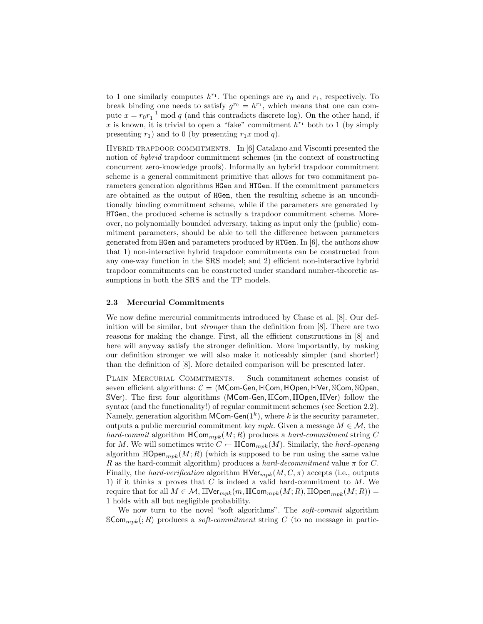to 1 one similarly computes  $h^{r_1}$ . The openings are  $r_0$  and  $r_1$ , respectively. To break binding one needs to satisfy  $g^{r_0} = h^{r_1}$ , which means that one can compute  $x = r_0 r_1^{-1}$  mod q (and this contradicts discrete log). On the other hand, if x is known, it is trivial to open a "fake" commitment  $h^{r_1}$  both to 1 (by simply presenting  $r_1$ ) and to 0 (by presenting  $r_1x \mod q$ ).

HYBRID TRAPDOOR COMMITMENTS. In [6] Catalano and Visconti presented the notion of *hybrid* trapdoor commitment schemes (in the context of constructing concurrent zero-knowledge proofs). Informally an hybrid trapdoor commitment scheme is a general commitment primitive that allows for two commitment parameters generation algorithms HGen and HTGen. If the commitment parameters are obtained as the output of HGen, then the resulting scheme is an unconditionally binding commitment scheme, while if the parameters are generated by HTGen, the produced scheme is actually a trapdoor commitment scheme. Moreover, no polynomially bounded adversary, taking as input only the (public) commitment parameters, should be able to tell the difference between parameters generated from HGen and parameters produced by HTGen. In [6], the authors show that 1) non-interactive hybrid trapdoor commitments can be constructed from any one-way function in the SRS model; and 2) efficient non-interactive hybrid trapdoor commitments can be constructed under standard number-theoretic assumptions in both the SRS and the TP models.

#### 2.3 Mercurial Commitments

We now define mercurial commitments introduced by Chase et al. [8]. Our definition will be similar, but *stronger* than the definition from [8]. There are two reasons for making the change. First, all the efficient constructions in [8] and here will anyway satisfy the stronger definition. More importantly, by making our definition stronger we will also make it noticeably simpler (and shorter!) than the definition of [8]. More detailed comparison will be presented later.

PLAIN MERCURIAL COMMITMENTS. Such commitment schemes consist of seven efficient algorithms:  $C = (MCom-Gen, \mathbb{H}Com, \mathbb{H}Open, \mathbb{H}Ver, \mathbb{S}Com, \mathbb{S}Open,$ SVer). The first four algorithms (MCom-Gen, HCom, HOpen, HVer) follow the syntax (and the functionality!) of regular commitment schemes (see Section 2.2). Namely, generation algorithm MCom-Gen $(1^k)$ , where k is the security parameter, outputs a public mercurial commitment key mpk. Given a message  $M \in \mathcal{M}$ , the hard-commit algorithm  $\mathbb{H}\textsf{Com}_{mpk}(M;R)$  produces a hard-commitment string C for M. We will sometimes write  $C \leftarrow \mathbb{H}\textsf{Com}_{mpk}(M)$ . Similarly, the hard-opening algorithm  $\mathbb{H}$ Open<sub>mpk</sub> $(M; R)$  (which is supposed to be run using the same value R as the hard-commit algorithm) produces a *hard-decommitment* value  $\pi$  for C. Finally, the *hard-verification* algorithm  $\mathbb{H} \mathsf{Ver}_{mpk}(M, C, \pi)$  accepts (i.e., outputs 1) if it thinks  $\pi$  proves that C is indeed a valid hard-commitment to M. We require that for all  $M \in \mathcal{M}$ ,  $\mathbb{H}$ Ver $_{mpk}(m, \mathbb{H}$ Com $_{mpk}(M; R)$ ,  $\mathbb{H}$ Open $_{mpk}(M; R)$ ) = 1 holds with all but negligible probability.

We now turn to the novel "soft algorithms". The *soft-commit* algorithm  $\mathcal{SCom}_{m\nu k}(\mathcal{R})$  produces a *soft-commitment* string C (to no message in partic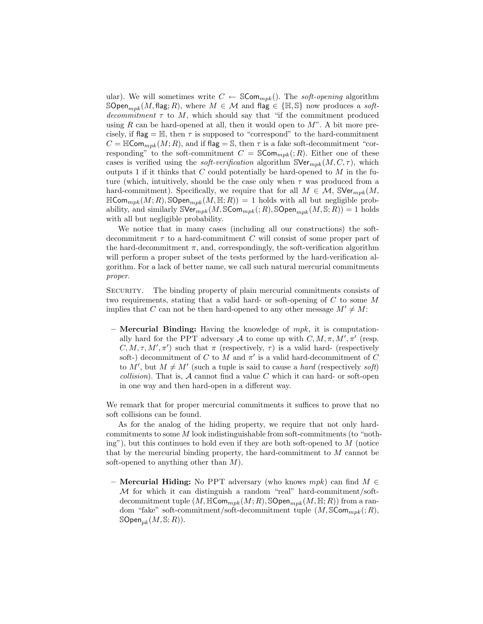ular). We will sometimes write  $C \leftarrow \mathbb{SCom}_{mpk}$  (). The *soft-opening* algorithm SOpen<sub>mpk</sub> $(M, flag; R)$ , where  $M \in \mathcal{M}$  and flag  $\in \{\mathbb{H}, \mathbb{S}\}\$  now produces a soft $decommitment \tau$  to M, which should say that "if the commitment produced using  $R$  can be hard-opened at all, then it would open to  $M$ ". A bit more precisely, if flag =  $\mathbb{H}$ , then  $\tau$  is supposed to "correspond" to the hard-commitment  $C = \mathbb{H}\textsf{Com}_{mpk}(M;R)$ , and if flag = S, then  $\tau$  is a fake soft-decommitment "corresponding" to the soft-commitment  $C = \mathcal{S}\text{Com}_{mnk}(\mathcal{R})$ . Either one of these cases is verified using the *soft-verification* algorithm  $SVer_{mpk}(M, C, \tau)$ , which outputs 1 if it thinks that  $C$  could potentially be hard-opened to  $M$  in the future (which, intuitively, should be the case only when  $\tau$  was produced from a hard-commitment). Specifically, we require that for all  $M \in \mathcal{M}$ ,  $\mathbb{S} \mathsf{Ver}_{mpk}(M)$ ,  $\mathbb{H}\text{Com}_{mpk}(M;R), \mathbb{S}\text{Open}_{mpk}(M, \mathbb{H}; R) = 1$  holds with all but negligible probability, and similarly  $\mathcal{S} \mathsf{Ver}_{mpk}(M, \mathcal{S} \mathsf{Com}_{mpk}((R), \mathcal{S} \mathsf{Open}_{mpk}(M, \mathcal{S}; R)) = 1$  holds with all but negligible probability.

We notice that in many cases (including all our constructions) the softdecommitment  $\tau$  to a hard-commitment C will consist of some proper part of the hard-decommitment  $\pi$ , and, correspondingly, the soft-verification algorithm will perform a proper subset of the tests performed by the hard-verification algorithm. For a lack of better name, we call such natural mercurial commitments proper.

SECURITY. The binding property of plain mercurial commitments consists of two requirements, stating that a valid hard- or soft-opening of  $C$  to some M implies that C can not be then hard-opened to any other message  $M' \neq M$ :

– **Mercurial Binding:** Having the knowledge of  $mpk$ , it is computationally hard for the PPT adversary A to come up with  $C, M, \pi, M', \pi'$  (resp.  $C, M, \tau, M', \pi'$ ) such that  $\pi$  (respectively,  $\tau$ ) is a valid hard- (respectively soft-) decommitment of C to M and  $\pi'$  is a valid hard-decommitment of C to  $M'$ , but  $M \neq M'$  (such a tuple is said to cause a hard (respectively soft) collision). That is,  $A$  cannot find a value C which it can hard- or soft-open in one way and then hard-open in a different way.

We remark that for proper mercurial commitments it suffices to prove that no soft collisions can be found.

As for the analog of the hiding property, we require that not only hardcommitments to some M look indistinguishable from soft-commitments (to "nothing"), but this continues to hold even if they are both soft-opened to  $M$  (notice that by the mercurial binding property, the hard-commitment to M cannot be soft-opened to anything other than  $M$ ).

– **Mercurial Hiding:** No PPT adversary (who knows  $mpk$ ) can find  $M \in$  $M$  for which it can distinguish a random "real" hard-commitment/softdecommitment tuple  $(M, \mathbb{H} \text{Com}_{mpk}(M; R), \mathbb{S} \text{Open}_{mpk}(M, \mathbb{H}; R))$  from a random "fake" soft-commitment/soft-decommitment tuple  $(M, \mathbb{SCom}_{mpk}; R)$ ,  $\mathbb{S} \mathsf{Open}_{pk}(M, \mathbb{S}; R)$ .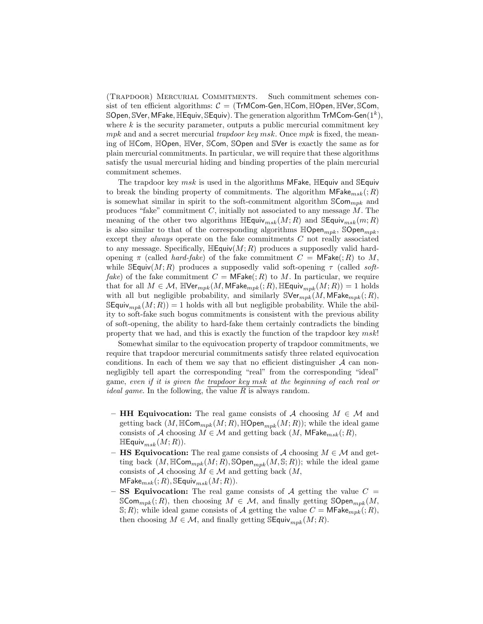(Trapdoor) Mercurial Commitments. Such commitment schemes consist of ten efficient algorithms:  $C = (TrMCom-Gen, \text{HCom}, \text{HOpen}, \text{HVer}, \text{SCom},$  $\mathbb S$ Open,  $\mathbb S$ Ver, MFake,  $\mathbb H$ Equiv,  $\mathbb S$ Equiv). The generation algorithm TrMCom-Gen $(1^k),$ where  $k$  is the security parameter, outputs a public mercurial commitment key  $mpk$  and and a secret mercurial *trapdoor key msk*. Once  $mpk$  is fixed, the meaning of HCom, HOpen, HVer, SCom, SOpen and SVer is exactly the same as for plain mercurial commitments. In particular, we will require that these algorithms satisfy the usual mercurial hiding and binding properties of the plain mercurial commitment schemes.

The trapdoor key msk is used in the algorithms MFake,  $\mathbb{H}$ Equiv and SEquiv to break the binding property of commitments. The algorithm  $\mathsf{MFake}_{msk}(\cdot;R)$ is somewhat similar in spirit to the soft-commitment algorithm  $\mathcal{S}\text{Com}_{m\nu k}$  and produces "fake" commitment  $C$ , initially not associated to any message  $M$ . The meaning of the other two algorithms  $\mathbb{H}$ Equiv<sub>msk</sub> $(M; R)$  and  $\mathbb{S}$ Equiv<sub>msk</sub> $(m; R)$ is also similar to that of the corresponding algorithms  $\mathbb{H} \mathsf{Open}_{mpk}$ ,  $\mathbb{S} \mathsf{Open}_{mpk}$ , except they *always* operate on the fake commitments  $C$  not really associated to any message. Specifically,  $\mathbb{H}$ Equiv $(M; R)$  produces a supposedly valid hardopening  $\pi$  (called *hard-fake*) of the fake commitment  $C = \mathsf{MFake}(\cdot; R)$  to M, while  $\mathbb{S}$ Equiv $(M; R)$  produces a supposedly valid soft-opening  $\tau$  (called soft*fake*) of the fake commitment  $C = \mathsf{MFake}(:,R)$  to M. In particular, we require that for all  $M \in \mathcal{M}$ ,  $\mathbb{H} \text{Ver}_{mpk}(M, \text{MFake}_{mpk}(:, R), \mathbb{H} \text{Equiv}_{mpk}(M; R)) = 1$  holds with all but negligible probability, and similarly  $\mathcal{S} \mathsf{Ver}_{mpk}(M, \mathsf{MFake}_{mpk}(:, R),$ SEquiv<sub>mpk</sub> $(M; R)$ ) = 1 holds with all but negligible probability. While the ability to soft-fake such bogus commitments is consistent with the previous ability of soft-opening, the ability to hard-fake them certainly contradicts the binding property that we had, and this is exactly the function of the trapdoor key msk!

Somewhat similar to the equivocation property of trapdoor commitments, we require that trapdoor mercurial commitments satisfy three related equivocation conditions. In each of them we say that no efficient distinguisher  $A$  can nonnegligibly tell apart the corresponding "real" from the corresponding "ideal" game, even if it is given the trapdoor key msk at the beginning of each real or *ideal game*. In the following, the value  $R$  is always random.

- **HH Equivocation:** The real game consists of A choosing  $M \in \mathcal{M}$  and getting back  $(M, \mathbb{H}\text{Comm}_k(M; R), \mathbb{H}\text{Open}_{mpk}(M; R))$ ; while the ideal game consists of A choosing  $M \in \mathcal{M}$  and getting back  $(M, M$ Fake $_{msk}(R),$  $\mathbb{H}$ Equiv $_{msk}(M; R)$ ).
- **HS Equivocation:** The real game consists of A choosing  $M \in \mathcal{M}$  and getting back  $(M, \mathbb{H}\text{Comm}_k(M, R), \mathbb{S}\text{Open}_{mpk}(M, \mathbb{S}; R))$ ; while the ideal game consists of A choosing  $M \in \mathcal{M}$  and getting back  $(M,$  $MFake_{msk}(; R),$  SEquiv $_{msk}(M; R)$ ).
- SS Equivocation: The real game consists of A getting the value  $C =$  $\mathcal{S}\mathsf{Com}_{mpk}(\mathfrak{f};R)$ , then choosing  $M \in \mathcal{M}$ , and finally getting  $\mathcal{S}\mathsf{Open}_{mpk}(M,$  $\mathcal{S}(R)$ ; while ideal game consists of A getting the value  $C = \mathsf{MFake}_{mpk}((R),$ then choosing  $M \in \mathcal{M}$ , and finally getting SEquiv<sub>mpk</sub> $(M; R)$ .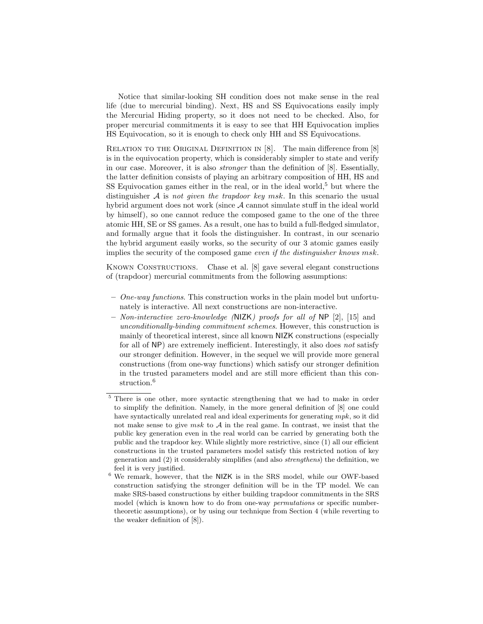Notice that similar-looking SH condition does not make sense in the real life (due to mercurial binding). Next, HS and SS Equivocations easily imply the Mercurial Hiding property, so it does not need to be checked. Also, for proper mercurial commitments it is easy to see that HH Equivocation implies HS Equivocation, so it is enough to check only HH and SS Equivocations.

RELATION TO THE ORIGINAL DEFINITION IN  $[8]$ . The main difference from  $[8]$ is in the equivocation property, which is considerably simpler to state and verify in our case. Moreover, it is also stronger than the definition of [8]. Essentially, the latter definition consists of playing an arbitrary composition of HH, HS and SS Equivocation games either in the real, or in the ideal world, $5$  but where the distinguisher  $A$  is not given the trapdoor key msk. In this scenario the usual hybrid argument does not work (since A cannot simulate stuff in the ideal world by himself), so one cannot reduce the composed game to the one of the three atomic HH, SE or SS games. As a result, one has to build a full-fledged simulator, and formally argue that it fools the distinguisher. In contrast, in our scenario the hybrid argument easily works, so the security of our 3 atomic games easily implies the security of the composed game even if the distinguisher knows msk.

Known Constructions. Chase et al. [8] gave several elegant constructions of (trapdoor) mercurial commitments from the following assumptions:

- $-$  One-way functions. This construction works in the plain model but unfortunately is interactive. All next constructions are non-interactive.
- $-$  Non-interactive zero-knowledge (NIZK) proofs for all of NP [2], [15] and unconditionally-binding commitment schemes. However, this construction is mainly of theoretical interest, since all known NIZK constructions (especially for all of NP) are extremely inefficient. Interestingly, it also does not satisfy our stronger definition. However, in the sequel we will provide more general constructions (from one-way functions) which satisfy our stronger definition in the trusted parameters model and are still more efficient than this construction.<sup>6</sup>

<sup>5</sup> There is one other, more syntactic strengthening that we had to make in order to simplify the definition. Namely, in the more general definition of [8] one could have syntactically unrelated real and ideal experiments for generating mpk, so it did not make sense to give  $msk$  to  $A$  in the real game. In contrast, we insist that the public key generation even in the real world can be carried by generating both the public and the trapdoor key. While slightly more restrictive, since (1) all our efficient constructions in the trusted parameters model satisfy this restricted notion of key generation and (2) it considerably simplifies (and also strengthens) the definition, we feel it is very justified.

<sup>6</sup> We remark, however, that the NIZK is in the SRS model, while our OWF-based construction satisfying the stronger definition will be in the TP model. We can make SRS-based constructions by either building trapdoor commitments in the SRS model (which is known how to do from one-way permutations or specific numbertheoretic assumptions), or by using our technique from Section 4 (while reverting to the weaker definition of [8]).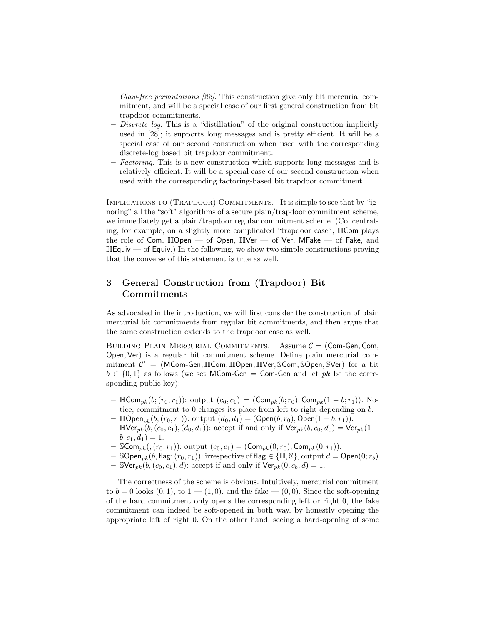- Claw-free permutations [22]. This construction give only bit mercurial commitment, and will be a special case of our first general construction from bit trapdoor commitments.
- Discrete log. This is a "distillation" of the original construction implicitly used in [28]; it supports long messages and is pretty efficient. It will be a special case of our second construction when used with the corresponding discrete-log based bit trapdoor commitment.
- $-$  Factoring. This is a new construction which supports long messages and is relatively efficient. It will be a special case of our second construction when used with the corresponding factoring-based bit trapdoor commitment.

IMPLICATIONS TO (TRAPDOOR) COMMITMENTS. It is simple to see that by "ignoring" all the "soft" algorithms of a secure plain/trapdoor commitment scheme, we immediately get a plain/trapdoor regular commitment scheme. (Concentrating, for example, on a slightly more complicated "trapdoor case", HCom plays the role of Com,  $\mathbb{H}$ Open — of Open,  $\mathbb{H}$ Ver — of Ver, MFake — of Fake, and  $\mathbb{H}$  Equiv — of Equiv.) In the following, we show two simple constructions proving that the converse of this statement is true as well.

# 3 General Construction from (Trapdoor) Bit Commitments

As advocated in the introduction, we will first consider the construction of plain mercurial bit commitments from regular bit commitments, and then argue that the same construction extends to the trapdoor case as well.

BUILDING PLAIN MERCURIAL COMMITMENTS. Assume  $C = (Com-Gen, Com,$ Open,Ver) is a regular bit commitment scheme. Define plain mercurial com $m$ itment  $C' = (MCom-Gen, \mathbb{H}Com, \mathbb{H}Open, \mathbb{H}Ver, \mathbb{S}Com, \mathbb{S}Open, \mathbb{S}Ver)$  for a bit  $b \in \{0,1\}$  as follows (we set MCom-Gen = Com-Gen and let pk be the corresponding public key):

- HICom<sub>pk</sub>(b;  $(r_0, r_1)$ ): output  $(c_0, c_1)$  = (Com<sub>pk</sub>(b;  $r_0$ ), Com<sub>pk</sub>(1 − b;  $r_1$ )). Notice, commitment to 0 changes its place from left to right depending on b.
- HOpen<sub>nk</sub>(b; (r<sub>0</sub>, r<sub>1</sub>)): output (d<sub>0</sub>, d<sub>1</sub>) = (Open(b; r<sub>0</sub>), Open(1 − b; r<sub>1</sub>)).
- HVer<sub>pk</sub>(b,(c<sub>0</sub>, c<sub>1</sub>),(d<sub>0</sub>, d<sub>1</sub>)): accept if and only if  $Ver_{pk}(b, c_0, d_0) = Ver_{pk}(1 −$  $b, c_1, d_1) = 1.$
- $-$  SCom<sub>pk</sub> $(:, (r_0, r_1))$ : output  $(c_0, c_1) = (Com_{nk}(0; r_0), Com_{nk}(0; r_1)).$
- SOpen<sub>nk</sub>(b, flag;  $(r_0, r_1)$ ): irrespective of flag  $\in \{\mathbb{H}, \mathbb{S}\}$ , output  $d = \mathsf{Open}(0; r_b)$ .
- SVer<sub>pk</sub> $(b, (c_0, c_1), d)$ : accept if and only if Ver<sub>pk</sub> $(0, c_b, d) = 1$ .

The correctness of the scheme is obvious. Intuitively, mercurial commitment to  $b = 0$  looks  $(0, 1)$ , to  $1 - (1, 0)$ , and the fake  $- (0, 0)$ . Since the soft-opening of the hard commitment only opens the corresponding left or right 0, the fake commitment can indeed be soft-opened in both way, by honestly opening the appropriate left of right 0. On the other hand, seeing a hard-opening of some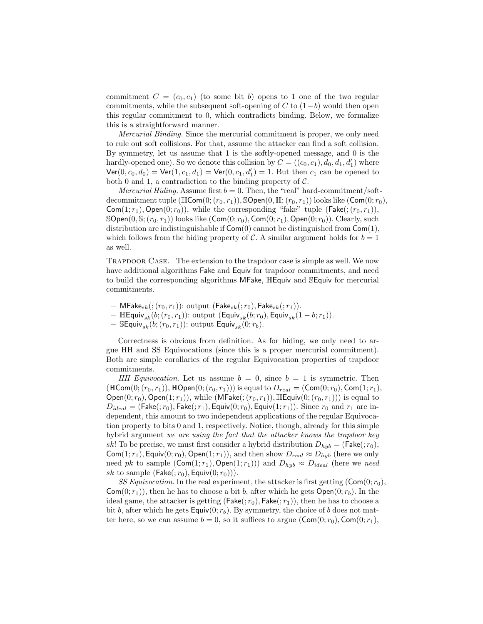commitment  $C = (c_0, c_1)$  (to some bit b) opens to 1 one of the two regular commitments, while the subsequent soft-opening of C to  $(1-b)$  would then open this regular commitment to 0, which contradicts binding. Below, we formalize this is a straightforward manner.

Mercurial Binding. Since the mercurial commitment is proper, we only need to rule out soft collisions. For that, assume the attacker can find a soft collision. By symmetry, let us assume that 1 is the softly-opened message, and 0 is the hardly-opened one). So we denote this collision by  $C = ((c_0, c_1), d_0, d_1, d'_1)$  where  $\text{Ver}(0, c_0, d_0) = \text{Ver}(1, c_1, d_1) = \text{Ver}(0, c_1, d_1') = 1.$  But then  $c_1$  can be opened to both 0 and 1, a contradiction to the binding property of  $\mathcal{C}$ .

*Mercurial Hiding.* Assume first  $b = 0$ . Then, the "real" hard-commitment/softdecommitment tuple  $(\mathbb{H}\mathsf{Com}(0;(r_0,r_1)), \mathbb{S}\mathsf{Open}(0,\mathbb{H};(r_0,r_1))$  looks like  $(\mathsf{Com}(0;r_0),$  $\text{Com}(1; r_1)$ ,  $\text{Open}(0; r_0)$ , while the corresponding "fake" tuple (Fake(;  $(r_0, r_1)$ ),  $\mathbb{SOpen}(0, \mathbb{S}; (r_0, r_1))$  looks like  $(\mathsf{Com}(0; r_0), \mathsf{Com}(0; r_1), \mathsf{Open}(0; r_0))$ . Clearly, such distribution are indistinguishable if  $Com(0)$  cannot be distinguished from  $Com(1)$ , which follows from the hiding property of C. A similar argument holds for  $b = 1$ as well.

Trapdoor Case. The extension to the trapdoor case is simple as well. We now have additional algorithms Fake and Equiv for trapdoor commitments, and need to build the corresponding algorithms MFake, HEquiv and SEquiv for mercurial commitments.

- MFake<sub>sk</sub> $(; (r_0, r_1))$ : output  $(Fake_{sk}; r_0)$ , Fake<sub>sk</sub> $(; r_1)$ ).
- HEquiv<sub>sk</sub>(b;  $(r_0, r_1)$ ): output (Equiv<sub>sk</sub>(b;  $r_0$ ), Equiv<sub>sk</sub>(1 − b;  $r_1$ )).
- SEquiv<sub>sk</sub> $(b; (r_0, r_1))$ : output Equiv<sub>sk</sub> $(0; r_b)$ .

Correctness is obvious from definition. As for hiding, we only need to argue HH and SS Equivocations (since this is a proper mercurial commitment). Both are simple corollaries of the regular Equivocation properties of trapdoor commitments.

HH Equivocation. Let us assume  $b = 0$ , since  $b = 1$  is symmetric. Then  $(H\text{Com}(0;(r_0,r_1)), H\text{Open}(0;(r_0,r_1)))$  is equal to  $D_{real} = (\text{Com}(0;r_0), \text{Com}(1;r_1))$ Open $(0; r_0)$ , Open $(1; r_1)$ ), while  $(MFake( $(r_0, r_1))$ ,  $HEquiv(0; (r_0, r_1))$  is equal to$  $D_{ideal}$  = (Fake(;  $r_0$ ), Fake(;  $r_1$ ), Equiv(0;  $r_0$ ), Equiv(1;  $r_1$ )). Since  $r_0$  and  $r_1$  are independent, this amount to two independent applications of the regular Equivocation property to bits 0 and 1, respectively. Notice, though, already for this simple hybrid argument we are using the fact that the attacker knows the trapdoor key sk! To be precise, we must first consider a hybrid distribution  $D_{hub} = (\text{Fake}(\cdot; r_0),$ Com(1;  $r_1$ ), Equiv(0;  $r_0$ ), Open(1;  $r_1$ )), and then show  $D_{real} \approx D_{hyb}$  (here we only need pk to sample  $(\text{Com}(1; r_1), \text{Open}(1; r_1)))$  and  $D_{hyb} \approx D_{ideal}$  (here we need sk to sample (Fake $(r_0)$ , Equiv $(0; r_0)$ ).

SS Equivocation. In the real experiment, the attacker is first getting  $(\textsf{Com}(0;r_0),$  $Com(0; r_1)$ , then he has to choose a bit b, after which he gets  $Open(0; r_b)$ . In the ideal game, the attacker is getting (Fake(;  $r_0$ ), Fake(;  $r_1$ )), then he has to choose a bit b, after which he gets  $\textsf{Equiv}(0; r_b)$ . By symmetry, the choice of b does not matter here, so we can assume  $b = 0$ , so it suffices to argue  $(\text{Com}(0; r_0), \text{Com}(0; r_1),$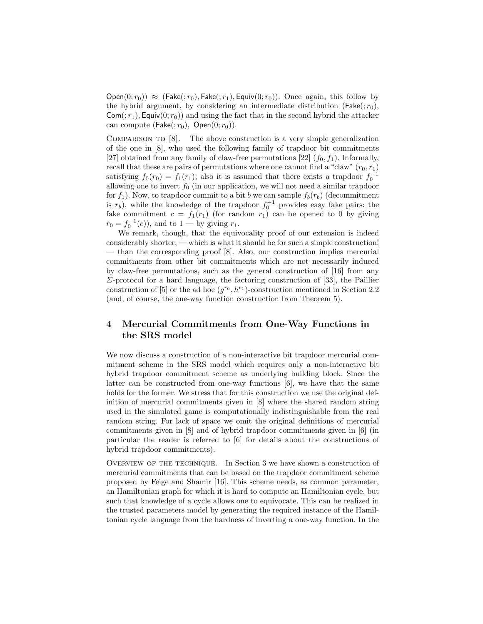$Open(0; r_0)$   $\approx$  (Fake(;  $r_0$ ), Fake(;  $r_1$ ), Equiv(0;  $r_0$ )). Once again, this follow by the hybrid argument, by considering an intermediate distribution (Fake( $(r_0)$ ,  $\mathsf{Com}(:,r_1), \mathsf{Equiv}(0;r_0))$  and using the fact that in the second hybrid the attacker can compute (Fake $(r_0)$ , Open $(0; r_0)$ ).

COMPARISON TO  $[8]$ . The above construction is a very simple generalization of the one in [8], who used the following family of trapdoor bit commitments [27] obtained from any family of claw-free permutations [22]  $(f_0, f_1)$ . Informally, recall that these are pairs of permutations where one cannot find a "claw"  $(r_0, r_1)$ satisfying  $f_0(r_0) = f_1(r_1)$ ; also it is assumed that there exists a trapdoor  $f_0^{-1}$ allowing one to invert  $f_0$  (in our application, we will not need a similar trapdoor for  $f_1$ ). Now, to trapdoor commit to a bit b we can sample  $f_b(r_b)$  (decommitment is  $r_b$ ), while the knowledge of the trapdoor  $f_0^{-1}$  provides easy fake pairs: the fake commitment  $c = f_1(r_1)$  (for random  $r_1$ ) can be opened to 0 by giving  $r_0 = f_0^{-1}(c)$ , and to  $1 - by$  giving  $r_1$ .

We remark, though, that the equivocality proof of our extension is indeed considerably shorter, — which is what it should be for such a simple construction! — than the corresponding proof [8]. Also, our construction implies mercurial commitments from other bit commitments which are not necessarily induced by claw-free permutations, such as the general construction of [16] from any  $\Sigma$ -protocol for a hard language, the factoring construction of [33], the Paillier construction of [5] or the ad hoc  $(g^{r_0}, h^{r_1})$ -construction mentioned in Section 2.2 (and, of course, the one-way function construction from Theorem 5).

### 4 Mercurial Commitments from One-Way Functions in the SRS model

We now discuss a construction of a non-interactive bit trapdoor mercurial commitment scheme in the SRS model which requires only a non-interactive bit hybrid trapdoor commitment scheme as underlying building block. Since the latter can be constructed from one-way functions [6], we have that the same holds for the former. We stress that for this construction we use the original definition of mercurial commitments given in [8] where the shared random string used in the simulated game is computationally indistinguishable from the real random string. For lack of space we omit the original definitions of mercurial commitments given in [8] and of hybrid trapdoor commitments given in [6] (in particular the reader is referred to [6] for details about the constructions of hybrid trapdoor commitments).

Overview of the technique. In Section 3 we have shown a construction of mercurial commitments that can be based on the trapdoor commitment scheme proposed by Feige and Shamir [16]. This scheme needs, as common parameter, an Hamiltonian graph for which it is hard to compute an Hamiltonian cycle, but such that knowledge of a cycle allows one to equivocate. This can be realized in the trusted parameters model by generating the required instance of the Hamiltonian cycle language from the hardness of inverting a one-way function. In the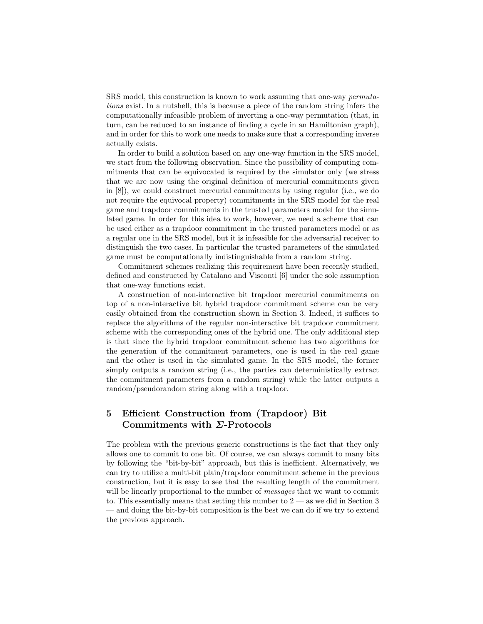SRS model, this construction is known to work assuming that one-way permutations exist. In a nutshell, this is because a piece of the random string infers the computationally infeasible problem of inverting a one-way permutation (that, in turn, can be reduced to an instance of finding a cycle in an Hamiltonian graph), and in order for this to work one needs to make sure that a corresponding inverse actually exists.

In order to build a solution based on any one-way function in the SRS model, we start from the following observation. Since the possibility of computing commitments that can be equivocated is required by the simulator only (we stress that we are now using the original definition of mercurial commitments given in [8]), we could construct mercurial commitments by using regular (i.e., we do not require the equivocal property) commitments in the SRS model for the real game and trapdoor commitments in the trusted parameters model for the simulated game. In order for this idea to work, however, we need a scheme that can be used either as a trapdoor commitment in the trusted parameters model or as a regular one in the SRS model, but it is infeasible for the adversarial receiver to distinguish the two cases. In particular the trusted parameters of the simulated game must be computationally indistinguishable from a random string.

Commitment schemes realizing this requirement have been recently studied, defined and constructed by Catalano and Visconti [6] under the sole assumption that one-way functions exist.

A construction of non-interactive bit trapdoor mercurial commitments on top of a non-interactive bit hybrid trapdoor commitment scheme can be very easily obtained from the construction shown in Section 3. Indeed, it suffices to replace the algorithms of the regular non-interactive bit trapdoor commitment scheme with the corresponding ones of the hybrid one. The only additional step is that since the hybrid trapdoor commitment scheme has two algorithms for the generation of the commitment parameters, one is used in the real game and the other is used in the simulated game. In the SRS model, the former simply outputs a random string (i.e., the parties can deterministically extract the commitment parameters from a random string) while the latter outputs a random/pseudorandom string along with a trapdoor.

# 5 Efficient Construction from (Trapdoor) Bit Commitments with Σ-Protocols

The problem with the previous generic constructions is the fact that they only allows one to commit to one bit. Of course, we can always commit to many bits by following the "bit-by-bit" approach, but this is inefficient. Alternatively, we can try to utilize a multi-bit plain/trapdoor commitment scheme in the previous construction, but it is easy to see that the resulting length of the commitment will be linearly proportional to the number of *messages* that we want to commit to. This essentially means that setting this number to  $2$  — as we did in Section 3 — and doing the bit-by-bit composition is the best we can do if we try to extend the previous approach.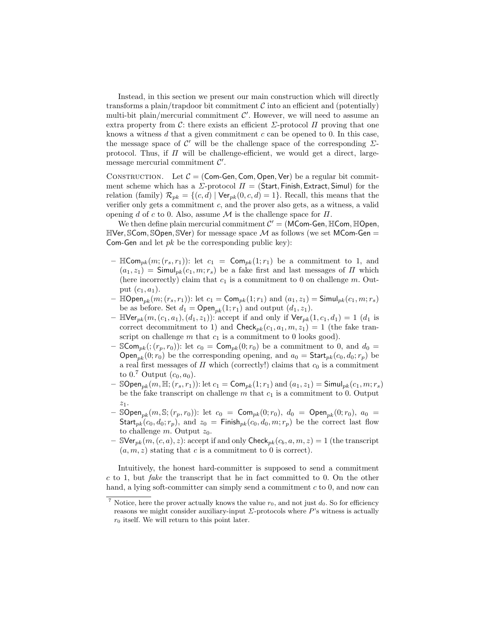Instead, in this section we present our main construction which will directly transforms a plain/trapdoor bit commitment  $\mathcal C$  into an efficient and (potentially) multi-bit plain/mercurial commitment  $\mathcal{C}'$ . However, we will need to assume an extra property from C: there exists an efficient  $\Sigma$ -protocol  $\Pi$  proving that one knows a witness  $d$  that a given commitment  $c$  can be opened to 0. In this case, the message space of  $\mathcal{C}'$  will be the challenge space of the corresponding  $\Sigma$ protocol. Thus, if  $\Pi$  will be challenge-efficient, we would get a direct, largemessage mercurial commitment  $\mathcal{C}'$ .

CONSTRUCTION. Let  $C = (Com-Gen, Com, Open, Ver)$  be a regular bit commitment scheme which has a  $\Sigma$ -protocol  $\Pi$  = (Start, Finish, Extract, Simul) for the relation (family)  $\mathcal{R}_{pk} = \{(c, d) | \text{Ver}_{pk}(0, c, d) = 1\}.$  Recall, this means that the verifier only gets a commitment  $c$ , and the prover also gets, as a witness, a valid opening d of c to 0. Also, assume  $\mathcal M$  is the challenge space for  $\Pi$ .

We then define plain mercurial commitment  $C' = (MCom-Gen, \mathbb{HCom}, \mathbb{HOpen})$  $\mathbb{H}$ Ver, SCom, SOpen, SVer) for message space M as follows (we set MCom-Gen = Com-Gen and let  $pk$  be the corresponding public key):

- $\mathbb{H} \textsf{Com}_{pk}(m; (r_s, r_1))$ : let  $c_1 = \textsf{Com}_{pk}(1; r_1)$  be a commitment to 1, and  $(a_1, z_1)$  = Simul<sub>pk</sub> $(c_1, m; r_s)$  be a fake first and last messages of  $\Pi$  which (here incorrectly) claim that  $c_1$  is a commitment to 0 on challenge m. Output  $(c_1, a_1)$ .
- $\mathbb{H} \mathsf{Open}_{pk}(m; (r_s, r_1))$ : let  $c_1 = \mathsf{Com}_{pk}(1; r_1)$  and  $(a_1, z_1) = \mathsf{Simul}_{pk}(c_1, m; r_s)$ be as before. Set  $d_1 = \text{Open}_{pk}(1; r_1)$  and output  $(d_1, z_1)$ .
- $\mathbb{H} \mathsf{Ver}_{pk}(m,(c_1,a_1),(d_1,z_1))$ : accept if and only if  $\mathsf{Ver}_{pk}(1,c_1,d_1) = 1$   $(d_1$  is correct decommitment to 1) and  $\text{Check}_{pk}(c_1, a_1, m, z_1) = 1$  (the fake transcript on challenge  $m$  that  $c_1$  is a commitment to 0 looks good).
- SCom<sub>pk</sub>(;  $(r_p, r_0)$ ): let  $c_0 = \text{Com}_{pk}(0; r_0)$  be a commitment to 0, and  $d_0 =$ **Open**<sub>nk</sub> $(0; r_0)$  be the corresponding opening, and  $a_0 = \text{Start}_{pk}(c_0, d_0; r_p)$  be a real first messages of  $\Pi$  which (correctly!) claims that  $c_0$  is a commitment to  $0.7$  Output  $(c_0, a_0)$ .
- $-$  SOpen<sub>nk</sub> $(m, \mathbb{H}; (r_s, r_1))$ : let  $c_1 = \textsf{Com}_{pk}(1; r_1)$  and  $(a_1, z_1) = \textsf{Simul}_{pk}(c_1, m; r_s)$ be the fake transcript on challenge  $m$  that  $c_1$  is a commitment to 0. Output  $z_1$ .
- SOpen<sub>pk</sub> $(m, \mathbb{S}; (r_p, r_0))$ : let  $c_0 = \textsf{Com}_{pk}(0; r_0), d_0 = \textsf{Open}_{pk}(0; r_0), a_0 =$ Start<sub>pk</sub>(c<sub>0</sub>, d<sub>0</sub>;  $r_p$ ), and  $z_0 =$  Finish<sub>pk</sub>(c<sub>0</sub>, d<sub>0</sub>, m;  $r_p$ ) be the correct last flow to challenge  $m$ . Output  $z_0$ .
- SVer<sub>pk</sub> $(m,(c,a),z)$ : accept if and only Check<sub>pk</sub> $(c_b, a, m, z) = 1$  (the transcript  $(a, m, z)$  stating that c is a commitment to 0 is correct).

Intuitively, the honest hard-committer is supposed to send a commitment c to 1, but *fake* the transcript that he in fact committed to 0. On the other hand, a lying soft-committer can simply send a commitment  $c$  to 0, and now can

<sup>&</sup>lt;sup>7</sup> Notice, here the prover actually knows the value  $r_0$ , and not just  $d_0$ . So for efficiency reasons we might consider auxiliary-input  $\Sigma$ -protocols where P's witness is actually  $r_0$  itself. We will return to this point later.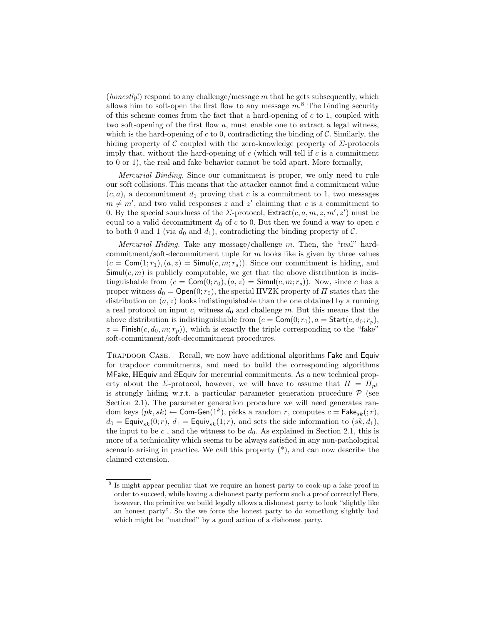*(honestly!)* respond to any challenge/message  $m$  that he gets subsequently, which allows him to soft-open the first flow to any message  $m$ .<sup>8</sup> The binding security of this scheme comes from the fact that a hard-opening of  $c$  to 1, coupled with two soft-opening of the first flow a, must enable one to extract a legal witness, which is the hard-opening of  $c$  to 0, contradicting the binding of  $\mathcal{C}$ . Similarly, the hiding property of C coupled with the zero-knowledge property of  $\Sigma$ -protocols imply that, without the hard-opening of  $c$  (which will tell if  $c$  is a commitment to 0 or 1), the real and fake behavior cannot be told apart. More formally,

Mercurial Binding. Since our commitment is proper, we only need to rule our soft collisions. This means that the attacker cannot find a commitment value  $(c, a)$ , a decommitment  $d_1$  proving that c is a commitment to 1, two messages  $m \neq m'$ , and two valid responses z and z' claiming that c is a commitment to 0. By the special soundness of the  $\Sigma$ -protocol, Extract $(c, a, m, z, m', z')$  must be equal to a valid decommitment  $d_0$  of c to 0. But then we found a way to open c to both 0 and 1 (via  $d_0$  and  $d_1$ ), contradicting the binding property of C.

*Mercurial Hiding.* Take any message/challenge  $m$ . Then, the "real" hardcommitment/soft-decommitment tuple for  $m$  looks like is given by three values  $(c = \text{Com}(1; r_1), (a, z) = \text{Simul}(c, m; r_s))$ . Since our commitment is hiding, and  $Simul(c, m)$  is publicly computable, we get that the above distribution is indistinguishable from  $(c = \text{Com}(0; r_0), (a, z) = \text{Simul}(c, m; r_s))$ . Now, since c has a proper witness  $d_0 = \text{Open}(0; r_0)$ , the special HVZK property of  $\Pi$  states that the distribution on  $(a, z)$  looks indistinguishable than the one obtained by a running a real protocol on input c, witness  $d_0$  and challenge m. But this means that the above distribution is indistinguishable from  $(c = \text{Com}(0; r_0), a = \text{Start}(c, d_0; r_p),$  $z = \mathsf{Finish}(c, d_0, m; r_p)),$  which is exactly the triple corresponding to the "fake" soft-commitment/soft-decommitment procedures.

Trapdoor Case. Recall, we now have additional algorithms Fake and Equiv for trapdoor commitments, and need to build the corresponding algorithms MFake, HEquiv and SEquiv for mercurial commitments. As a new technical property about the *Σ*-protocol, however, we will have to assume that  $\Pi = \Pi_{pk}$ is strongly hiding w.r.t. a particular parameter generation procedure  $\mathcal P$  (see Section 2.1). The parameter generation procedure we will need generates random keys  $(pk, sk) \leftarrow \textsf{Com-Gen}(1^k)$ , picks a random r, computes  $c = \textsf{False}_{sk}(:,r)$ ,  $d_0 = \text{Equiv}_{sk}(0; r), d_1 = \text{Equiv}_{sk}(1; r),$  and sets the side information to  $(sk, d_1),$ the input to be  $c$ , and the witness to be  $d_0$ . As explained in Section 2.1, this is more of a technicality which seems to be always satisfied in any non-pathological scenario arising in practice. We call this property (\*), and can now describe the claimed extension.

<sup>&</sup>lt;sup>8</sup> Is might appear peculiar that we require an honest party to cook-up a fake proof in order to succeed, while having a dishonest party perform such a proof correctly! Here, however, the primitive we build legally allows a dishonest party to look "slightly like an honest party". So the we force the honest party to do something slightly bad which might be "matched" by a good action of a dishonest party.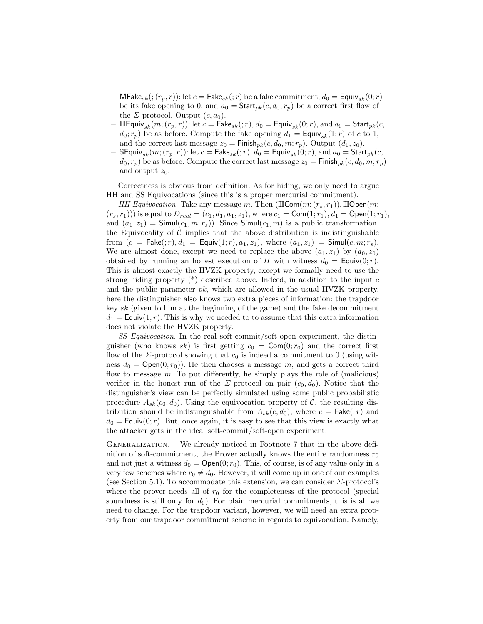- $-$  MFake<sub>sk</sub>(;  $(r_p, r)$ ): let  $c =$  Fake<sub>sk</sub>(;  $r$ ) be a fake commitment,  $d_0 =$  Equiv<sub>sk</sub> $(0; r)$ be its fake opening to 0, and  $a_0 = \text{Start}_{pk}(c, d_0; r_p)$  be a correct first flow of the *Σ*-protocol. Output  $(c, a_0)$ .
- $-$  HEquiv $_{sk}(m;(r_p,r))$ : let  $c =$  Fake $_{sk}(:,r), d_0 =$  Equiv $_{sk}(0;r)$ , and  $a_0 =$  Start $_{pk}(c,$  $d_0$ ;  $r_p$ ) be as before. Compute the fake opening  $d_1 = \text{Equiv}_{sk}(1; r)$  of c to 1, and the correct last message  $z_0 = \text{Finish}_{pk}(c, d_0, m; r_p)$ . Output  $(d_1, z_0)$ .
- $-$  SEquiv<sub>sk</sub> $(m; (r_p, r))$ : let  $c =$  Fake<sub>sk</sub> $(r)$ ,  $d_0 =$  Equiv<sub>sk</sub> $(0; r)$ , and  $a_0 =$  Start<sub>pk</sub> $(c,$  $d_0; r_p$  be as before. Compute the correct last message  $z_0 = \mathsf{Finish}_{pk}(c, d_0, m; r_p)$ and output  $z_0$ .

Correctness is obvious from definition. As for hiding, we only need to argue HH and SS Equivocations (since this is a proper mercurial commitment).

HH Equivocation. Take any message m. Then  $(H\text{Com}(m;(r_s,r_1)), H\text{Open}(m;$  $(r_s, r_1))$  is equal to  $D_{real} = (c_1, d_1, a_1, z_1)$ , where  $c_1 = \text{Com}(1; r_1), d_1 = \text{Open}(1; r_1)$ , and  $(a_1, z_1)$  = Simul $(c_1, m; r_s)$ ). Since Simul $(c_1, m)$  is a public transformation, the Equivocality of  $\mathcal C$  implies that the above distribution is indistinguishable from  $(c = \text{Fake}(:,r), d_1 = \text{Equiv}(1;r), a_1, z_1)$ , where  $(a_1, z_1) = \text{Simul}(c, m; r_s)$ . We are almost done, except we need to replace the above  $(a_1, z_1)$  by  $(a_0, z_0)$ obtained by running an honest execution of  $\Pi$  with witness  $d_0 = \mathsf{Equiv}(0; r)$ . This is almost exactly the HVZK property, except we formally need to use the strong hiding property  $(*)$  described above. Indeed, in addition to the input c and the public parameter  $pk$ , which are allowed in the usual HVZK property, here the distinguisher also knows two extra pieces of information: the trapdoor key sk (given to him at the beginning of the game) and the fake decommitment  $d_1 = \text{Equiv}(1; r)$ . This is why we needed to to assume that this extra information does not violate the HVZK property.

SS Equivocation. In the real soft-commit/soft-open experiment, the distinguisher (who knows sk) is first getting  $c_0 = \text{Com}(0; r_0)$  and the correct first flow of the  $\Sigma$ -protocol showing that  $c_0$  is indeed a commitment to 0 (using witness  $d_0 = \text{Open}(0; r_0)$ . He then chooses a message m, and gets a correct third flow to message m. To put differently, he simply plays the role of (malicious) verifier in the honest run of the  $\Sigma$ -protocol on pair  $(c_0, d_0)$ . Notice that the distinguisher's view can be perfectly simulated using some public probabilistic procedure  $A_{sk}(c_0, d_0)$ . Using the equivocation property of C, the resulting distribution should be indistinguishable from  $A_{sk}(c, d_0)$ , where  $c = \mathsf{Fake}(x)$  and  $d_0 = \mathsf{Equiv}(0; r)$ . But, once again, it is easy to see that this view is exactly what the attacker gets in the ideal soft-commit/soft-open experiment.

Generalization. We already noticed in Footnote 7 that in the above definition of soft-commitment, the Prover actually knows the entire randomness  $r_0$ and not just a witness  $d_0 = \text{Open}(0; r_0)$ . This, of course, is of any value only in a very few schemes where  $r_0 \neq d_0$ . However, it will come up in one of our examples (see Section 5.1). To accommodate this extension, we can consider  $\Sigma$ -protocol's where the prover needs all of  $r_0$  for the completeness of the protocol (special soundness is still only for  $d_0$ ). For plain mercurial commitments, this is all we need to change. For the trapdoor variant, however, we will need an extra property from our trapdoor commitment scheme in regards to equivocation. Namely,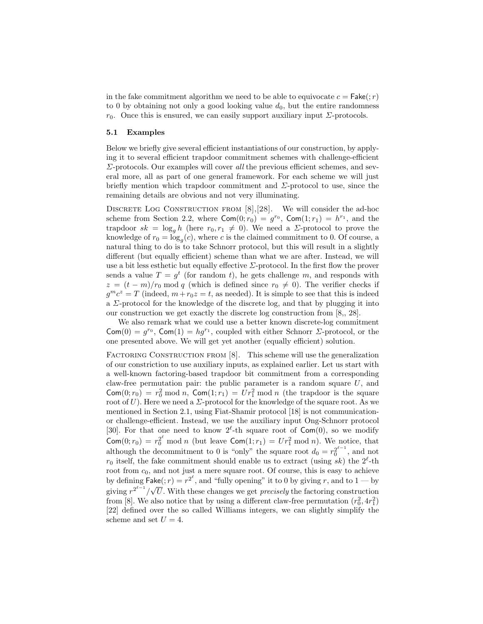in the fake commitment algorithm we need to be able to equivocate  $c = \mathsf{Fake}(; r)$ to 0 by obtaining not only a good looking value  $d_0$ , but the entire randomness  $r_0$ . Once this is ensured, we can easily support auxiliary input  $\Sigma$ -protocols.

#### 5.1 Examples

Below we briefly give several efficient instantiations of our construction, by applying it to several efficient trapdoor commitment schemes with challenge-efficient  $\Sigma$ -protocols. Our examples will cover all the previous efficient schemes, and several more, all as part of one general framework. For each scheme we will just briefly mention which trapdoor commitment and  $\Sigma$ -protocol to use, since the remaining details are obvious and not very illuminating.

DISCRETE LOG CONSTRUCTION FROM  $[8]$ ,  $[28]$ . We will consider the ad-hoc scheme from Section 2.2, where  $\textsf{Com}(0;r_0) = g^{r_0}$ ,  $\textsf{Com}(1;r_1) = h^{r_1}$ , and the trapdoor  $sk = \log_q h$  (here  $r_0, r_1 \neq 0$ ). We need a *Σ*-protocol to prove the knowledge of  $r_0 = \log_q(c)$ , where c is the claimed commitment to 0. Of course, a natural thing to do is to take Schnorr protocol, but this will result in a slightly different (but equally efficient) scheme than what we are after. Instead, we will use a bit less esthetic but equally effective  $\Sigma$ -protocol. In the first flow the prover sends a value  $T = g^t$  (for random t), he gets challenge m, and responds with  $z = (t - m)/r_0 \mod q$  (which is defined since  $r_0 \neq 0$ ). The verifier checks if  $g^mc^z = T$  (indeed,  $m + r_0z = t$ , as needed). It is simple to see that this is indeed a  $\Sigma$ -protocol for the knowledge of the discrete log, and that by plugging it into our construction we get exactly the discrete log construction from [8,, 28].

We also remark what we could use a better known discrete-log commitment  $\mathsf{Com}(0) = g^{r_0}, \mathsf{Com}(1) = hg^{r_1},$  coupled with either Schnorr  $\Sigma$ -protocol, or the one presented above. We will get yet another (equally efficient) solution.

FACTORING CONSTRUCTION FROM [8]. This scheme will use the generalization of our constriction to use auxiliary inputs, as explained earlier. Let us start with a well-known factoring-based trapdoor bit commitment from a corresponding claw-free permutation pair: the public parameter is a random square  $U$ , and  $\textsf{Com}(0; r_0) = r_0^2 \bmod n$ ,  $\textsf{Com}(1; r_1) = Ur_1^2 \bmod n$  (the trapdoor is the square root of  $U$ ). Here we need a  $\Sigma$ -protocol for the knowledge of the square root. As we mentioned in Section 2.1, using Fiat-Shamir protocol [18] is not communicationor challenge-efficient. Instead, we use the auxiliary input Ong-Schnorr protocol [30]. For that one need to know  $2^{\ell}$ -th square root of Com(0), so we modify  $\textsf{Com}(0;r_0)=r_0^{2^{\ell}}\bmod n$  (but leave  $\textsf{Com}(1;r_1)=Ur_1^2\bmod n$ ). We notice, that although the decommitment to 0 is "only" the square root  $d_0 = r_0^{2^{\ell-1}}$  $a_0^{2^{k-1}}$ , and not  $r_0$  itself, the fake commitment should enable us to extract (using sk) the  $2^{\ell}$ -th root from  $c_0$ , and not just a mere square root. Of course, this is easy to achieve by defining  $\mathsf{Fake}(:, r) = r^{2^{\ell}},$  and "fully opening" it to 0 by giving r, and to 1 — by giving  $r^{2^{\ell-1}}/\sqrt{U}$ . With these changes we get *precisely* the factoring construction from [8]. We also notice that by using a different claw-free permutation  $(r_0^2, 4r_1^2)$ [22] defined over the so called Williams integers, we can slightly simplify the scheme and set  $U = 4$ .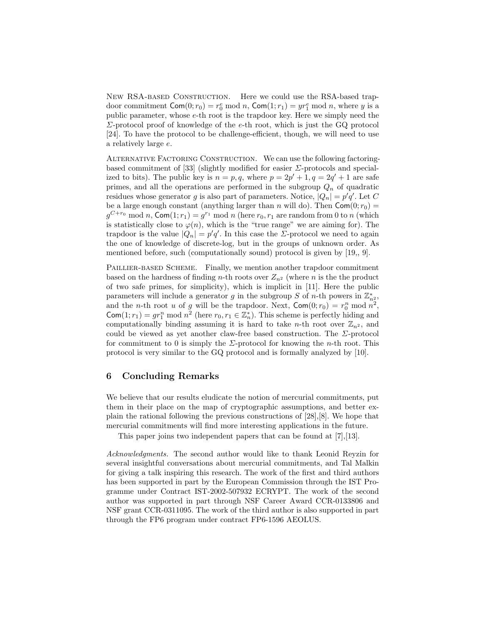New RSA-based Construction. Here we could use the RSA-based trapdoor commitment  $\mathsf{Com}(0; r_0) = r_0^e \bmod n$ ,  $\mathsf{Com}(1; r_1) = yr_1^e \bmod n$ , where y is a public parameter, whose e-th root is the trapdoor key. Here we simply need the Σ-protocol proof of knowledge of the e-th root, which is just the GQ protocol [24]. To have the protocol to be challenge-efficient, though, we will need to use a relatively large e.

Alternative Factoring Construction. We can use the following factoringbased commitment of [33] (slightly modified for easier  $\Sigma$ -protocols and specialized to bits). The public key is  $n = p, q$ , where  $p = 2p' + 1, q = 2q' + 1$  are safe primes, and all the operations are performed in the subgroup  $Q_n$  of quadratic residues whose generator g is also part of parameters. Notice,  $|Q_n| = p'q'$ . Let C be a large enough constant (anything larger than n will do). Then  $\mathsf{Com}(0; r_0) =$  $g^{C+r_0}$  mod n,  $\textsf{Com}(1;r_1)=g^{r_1}$  mod n (here  $r_0,r_1$  are random from 0 to n (which is statistically close to  $\varphi(n)$ , which is the "true range" we are aiming for). The trapdoor is the value  $|Q_n| = p'q'$ . In this case the *Σ*-protocol we need to again the one of knowledge of discrete-log, but in the groups of unknown order. As mentioned before, such (computationally sound) protocol is given by [19,, 9].

PAILLIER-BASED SCHEME. Finally, we mention another trapdoor commitment based on the hardness of finding n-th roots over  $Z_{n^2}$  (where n is the the product of two safe primes, for simplicity), which is implicit in [11]. Here the public parameters will include a generator g in the subgroup S of n-th powers in  $\mathbb{Z}_{n^2}^*$ , and the *n*-th root *u* of *g* will be the trapdoor. Next,  $Com(0;r_0) = r_0^n \text{ mod } n^2$ ,  $\textsf{Com}(1;r_1)=gr_1^n \bmod n^2$  (here  $r_0, r_1 \in \mathbb{Z}_n^*$ ). This scheme is perfectly hiding and computationally binding assuming it is hard to take *n*-th root over  $\mathbb{Z}_{n^2}$ , and could be viewed as yet another claw-free based construction. The  $\Sigma$ -protocol for commitment to 0 is simply the  $\Sigma$ -protocol for knowing the *n*-th root. This protocol is very similar to the GQ protocol and is formally analyzed by [10].

### 6 Concluding Remarks

We believe that our results eludicate the notion of mercurial commitments, put them in their place on the map of cryptographic assumptions, and better explain the rational following the previous constructions of [28],[8]. We hope that mercurial commitments will find more interesting applications in the future.

This paper joins two independent papers that can be found at [7],[13].

Acknowledgments. The second author would like to thank Leonid Reyzin for several insightful conversations about mercurial commitments, and Tal Malkin for giving a talk inspiring this research. The work of the first and third authors has been supported in part by the European Commission through the IST Programme under Contract IST-2002-507932 ECRYPT. The work of the second author was supported in part through NSF Career Award CCR-0133806 and NSF grant CCR-0311095. The work of the third author is also supported in part through the FP6 program under contract FP6-1596 AEOLUS.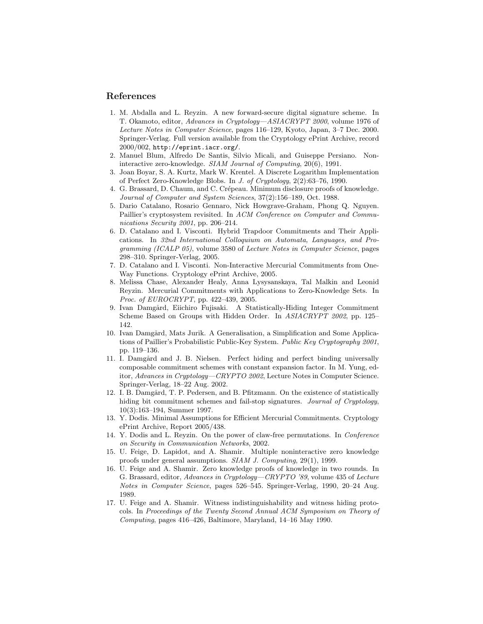### References

- 1. M. Abdalla and L. Reyzin. A new forward-secure digital signature scheme. In T. Okamoto, editor, Advances in Cryptology—ASIACRYPT 2000, volume 1976 of Lecture Notes in Computer Science, pages 116–129, Kyoto, Japan, 3–7 Dec. 2000. Springer-Verlag. Full version available from the Cryptology ePrint Archive, record 2000/002, http://eprint.iacr.org/.
- 2. Manuel Blum, Alfredo De Santis, Silvio Micali, and Guiseppe Persiano. Noninteractive zero-knowledge. SIAM Journal of Computing, 20(6), 1991.
- 3. Joan Boyar, S. A. Kurtz, Mark W. Krentel. A Discrete Logarithm Implementation of Perfect Zero-Knowledge Blobs. In J. of Cryptology, 2(2):63–76, 1990.
- 4. G. Brassard, D. Chaum, and C. Crépeau. Minimum disclosure proofs of knowledge. Journal of Computer and System Sciences, 37(2):156–189, Oct. 1988.
- 5. Dario Catalano, Rosario Gennaro, Nick Howgrave-Graham, Phong Q. Nguyen. Paillier's cryptosystem revisited. In ACM Conference on Computer and Communications Security 2001, pp. 206–214.
- 6. D. Catalano and I. Visconti. Hybrid Trapdoor Commitments and Their Applications. In 32nd International Colloquium on Automata, Languages, and Programming (ICALP 05), volume 3580 of Lecture Notes in Computer Science, pages 298–310. Springer-Verlag, 2005.
- 7. D. Catalano and I. Visconti. Non-Interactive Mercurial Commitments from One-Way Functions. Cryptology ePrint Archive, 2005.
- 8. Melissa Chase, Alexander Healy, Anna Lysysanskaya, Tal Malkin and Leonid Reyzin. Mercurial Commitments with Applications to Zero-Knowledge Sets. In Proc. of EUROCRYPT, pp. 422–439, 2005.
- 9. Ivan Damgård, Eiichiro Fujisaki. A Statistically-Hiding Integer Commitment Scheme Based on Groups with Hidden Order. In ASIACRYPT 2002, pp. 125– 142.
- 10. Ivan Damgård, Mats Jurik. A Generalisation, a Simplification and Some Applications of Paillier's Probabilistic Public-Key System. Public Key Cryptography 2001, pp. 119–136.
- 11. I. Damgård and J. B. Nielsen. Perfect hiding and perfect binding universally composable commitment schemes with constant expansion factor. In M. Yung, editor, Advances in Cryptology—CRYPTO 2002, Lecture Notes in Computer Science. Springer-Verlag, 18–22 Aug. 2002.
- 12. I. B. Damgård, T. P. Pedersen, and B. Pfitzmann. On the existence of statistically hiding bit commitment schemes and fail-stop signatures. Journal of Cryptology, 10(3):163–194, Summer 1997.
- 13. Y. Dodis. Minimal Assumptions for Efficient Mercurial Commitments. Cryptology ePrint Archive, Report 2005/438.
- 14. Y. Dodis and L. Reyzin. On the power of claw-free permutations. In Conference on Security in Communication Networks, 2002.
- 15. U. Feige, D. Lapidot, and A. Shamir. Multiple noninteractive zero knowledge proofs under general assumptions. SIAM J. Computing, 29(1), 1999.
- 16. U. Feige and A. Shamir. Zero knowledge proofs of knowledge in two rounds. In G. Brassard, editor, Advances in Cryptology—CRYPTO '89, volume 435 of Lecture Notes in Computer Science, pages 526–545. Springer-Verlag, 1990, 20–24 Aug. 1989.
- 17. U. Feige and A. Shamir. Witness indistinguishability and witness hiding protocols. In Proceedings of the Twenty Second Annual ACM Symposium on Theory of Computing, pages 416–426, Baltimore, Maryland, 14–16 May 1990.